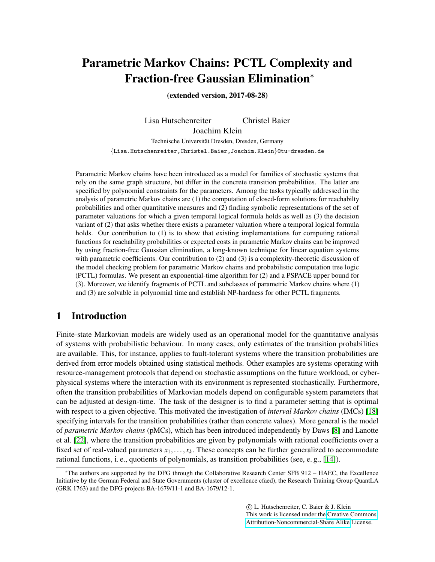# Parametric Markov Chains: PCTL Complexity and Fraction-free Gaussian Elimination<sup>∗</sup>

(extended version, 2017-08-28)

Lisa Hutschenreiter Christel Baier Joachim Klein Technische Universität Dresden, Dresden, Germany {Lisa.Hutschenreiter,Christel.Baier,Joachim.Klein}@tu-dresden.de

Parametric Markov chains have been introduced as a model for families of stochastic systems that rely on the same graph structure, but differ in the concrete transition probabilities. The latter are specified by polynomial constraints for the parameters. Among the tasks typically addressed in the analysis of parametric Markov chains are (1) the computation of closed-form solutions for reachabilty probabilities and other quantitative measures and (2) finding symbolic representations of the set of parameter valuations for which a given temporal logical formula holds as well as (3) the decision variant of (2) that asks whether there exists a parameter valuation where a temporal logical formula holds. Our contribution to (1) is to show that existing implementations for computing rational functions for reachability probabilities or expected costs in parametric Markov chains can be improved by using fraction-free Gaussian elimination, a long-known technique for linear equation systems with parametric coefficients. Our contribution to (2) and (3) is a complexity-theoretic discussion of the model checking problem for parametric Markov chains and probabilistic computation tree logic (PCTL) formulas. We present an exponential-time algorithm for (2) and a PSPACE upper bound for (3). Moreover, we identify fragments of PCTL and subclasses of parametric Markov chains where (1) and (3) are solvable in polynomial time and establish NP-hardness for other PCTL fragments.

# 1 Introduction

Finite-state Markovian models are widely used as an operational model for the quantitative analysis of systems with probabilistic behaviour. In many cases, only estimates of the transition probabilities are available. This, for instance, applies to fault-tolerant systems where the transition probabilities are derived from error models obtained using statistical methods. Other examples are systems operating with resource-management protocols that depend on stochastic assumptions on the future workload, or cyberphysical systems where the interaction with its environment is represented stochastically. Furthermore, often the transition probabilities of Markovian models depend on configurable system parameters that can be adjusted at design-time. The task of the designer is to find a parameter setting that is optimal with respect to a given objective. This motivated the investigation of *interval Markov chains* (IMCs) [\[18\]](#page-14-0) specifying intervals for the transition probabilities (rather than concrete values). More general is the model of *parametric Markov chains* (pMCs), which has been introduced independently by Daws [\[8\]](#page-13-0) and Lanotte et al. [\[22\]](#page-14-1), where the transition probabilities are given by polynomials with rational coefficients over a fixed set of real-valued parameters  $x_1, \ldots, x_k$ . These concepts can be further generalized to accommodate rational functions, i. e., quotients of polynomials, as transition probabilities (see, e. g., [\[14\]](#page-14-2)).

 c L. Hutschenreiter, C. Baier & J. Klein This work is licensed under the [Creative Commons](http://creativecommons.org) [Attribution-Noncommercial-Share Alike](http://creativecommons.org/licenses/by-nc-sa/3.0/) License.

<sup>∗</sup>The authors are supported by the DFG through the Collaborative Research Center SFB 912 – HAEC, the Excellence Initiative by the German Federal and State Governments (cluster of excellence cfaed), the Research Training Group QuantLA (GRK 1763) and the DFG-projects BA-1679/11-1 and BA-1679/12-1.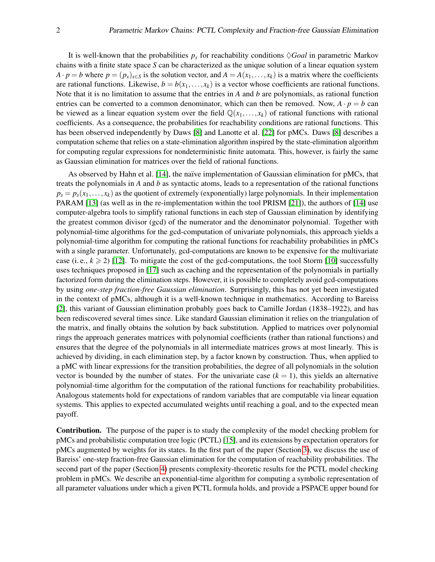It is well-known that the probabilities  $p_s$  for reachability conditions  $\Diamond$  *Goal* in parametric Markov chains with a finite state space *S* can be characterized as the unique solution of a linear equation system  $A \cdot p = b$  where  $p = (p_s)_{s \in S}$  is the solution vector, and  $A = A(x_1, \ldots, x_k)$  is a matrix where the coefficients are rational functions. Likewise,  $b = b(x_1, \ldots, x_k)$  is a vector whose coefficients are rational functions. Note that it is no limitation to assume that the entries in *A* and *b* are polynomials, as rational function entries can be converted to a common denominator, which can then be removed. Now,  $A \cdot p = b$  can be viewed as a linear equation system over the field  $\mathbb{Q}(x_1,\ldots,x_k)$  of rational functions with rational coefficients. As a consequence, the probabilities for reachability conditions are rational functions. This has been observed independently by Daws [\[8\]](#page-13-0) and Lanotte et al. [\[22\]](#page-14-1) for pMCs. Daws [\[8\]](#page-13-0) describes a computation scheme that relies on a state-elimination algorithm inspired by the state-elimination algorithm for computing regular expressions for nondeterministic finite automata. This, however, is fairly the same as Gaussian elimination for matrices over the field of rational functions.

As observed by Hahn et al. [\[14\]](#page-14-2), the naïve implementation of Gaussian elimination for pMCs, that treats the polynomials in *A* and *b* as syntactic atoms, leads to a representation of the rational functions  $p_s = p_s(x_1, \ldots, x_k)$  as the quotient of extremely (exponentially) large polynomials. In their implementation PARAM [\[13\]](#page-13-1) (as well as in the re-implementation within the tool PRISM [\[21\]](#page-14-3)), the authors of [\[14\]](#page-14-2) use computer-algebra tools to simplify rational functions in each step of Gaussian elimination by identifying the greatest common divisor (gcd) of the numerator and the denominator polynomial. Together with polynomial-time algorithms for the gcd-computation of univariate polynomials, this approach yields a polynomial-time algorithm for computing the rational functions for reachability probabilities in pMCs with a single parameter. Unfortunately, gcd-computations are known to be expensive for the multivariate case (i. e.,  $k \ge 2$ ) [\[12\]](#page-13-2). To mitigate the cost of the gcd-computations, the tool Storm [\[10\]](#page-13-3) successfully uses techniques proposed in [\[17\]](#page-14-4) such as caching and the representation of the polynomials in partially factorized form during the elimination steps. However, it is possible to completely avoid gcd-computations by using *one-step fraction-free Gaussian elimination*. Surprisingly, this has not yet been investigated in the context of pMCs, although it is a well-known technique in mathematics. According to Bareiss [\[2\]](#page-13-4), this variant of Gaussian elimination probably goes back to Camille Jordan (1838–1922), and has been rediscovered several times since. Like standard Gaussian elimination it relies on the triangulation of the matrix, and finally obtains the solution by back substitution. Applied to matrices over polynomial rings the approach generates matrices with polynomial coefficients (rather than rational functions) and ensures that the degree of the polynomials in all intermediate matrices grows at most linearly. This is achieved by dividing, in each elimination step, by a factor known by construction. Thus, when applied to a pMC with linear expressions for the transition probabilities, the degree of all polynomials in the solution vector is bounded by the number of states. For the univariate case  $(k = 1)$ , this yields an alternative polynomial-time algorithm for the computation of the rational functions for reachability probabilities. Analogous statements hold for expectations of random variables that are computable via linear equation systems. This applies to expected accumulated weights until reaching a goal, and to the expected mean payoff.

Contribution. The purpose of the paper is to study the complexity of the model checking problem for pMCs and probabilistic computation tree logic (PCTL) [\[15\]](#page-14-5), and its extensions by expectation operators for pMCs augmented by weights for its states. In the first part of the paper (Section [3\)](#page-4-0), we discuss the use of Bareiss' one-step fraction-free Gaussian elimination for the computation of reachability probabilities. The second part of the paper (Section [4\)](#page-9-0) presents complexity-theoretic results for the PCTL model checking problem in pMCs. We describe an exponential-time algorithm for computing a symbolic representation of all parameter valuations under which a given PCTL formula holds, and provide a PSPACE upper bound for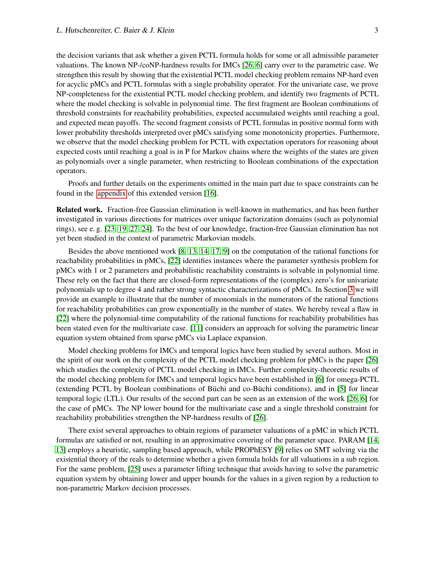the decision variants that ask whether a given PCTL formula holds for some or all admissible parameter valuations. The known NP-/coNP-hardness results for IMCs [\[26,](#page-14-6) [6\]](#page-13-5) carry over to the parametric case. We strengthen this result by showing that the existential PCTL model checking problem remains NP-hard even for acyclic pMCs and PCTL formulas with a single probability operator. For the univariate case, we prove NP-completeness for the existential PCTL model checking problem, and identify two fragments of PCTL where the model checking is solvable in polynomial time. The first fragment are Boolean combinations of threshold constraints for reachability probabilities, expected accumulated weights until reaching a goal, and expected mean payoffs. The second fragment consists of PCTL formulas in positive normal form with lower probability thresholds interpreted over pMCs satisfying some monotonicity properties. Furthermore, we observe that the model checking problem for PCTL with expectation operators for reasoning about expected costs until reaching a goal is in P for Markov chains where the weights of the states are given as polynomials over a single parameter, when restricting to Boolean combinations of the expectation operators.

Proofs and further details on the experiments omitted in the main part due to space constraints can be found in the [appendix](#page-15-0) of this extended version [\[16\]](#page-14-7).

Related work. Fraction-free Gaussian elimination is well-known in mathematics, and has been further investigated in various directions for matrices over unique factorization domains (such as polynomial rings), see e. g. [\[23,](#page-14-8) [19,](#page-14-9) [27,](#page-14-10) [24\]](#page-14-11). To the best of our knowledge, fraction-free Gaussian elimination has not yet been studied in the context of parametric Markovian models.

Besides the above mentioned work [\[8,](#page-13-0) [13,](#page-13-1) [14,](#page-14-2) [17,](#page-14-4) [9\]](#page-13-6) on the computation of the rational functions for reachability probabilities in pMCs, [\[22\]](#page-14-1) identifies instances where the parameter synthesis problem for pMCs with 1 or 2 parameters and probabilistic reachability constraints is solvable in polynomial time. These rely on the fact that there are closed-form representations of the (complex) zero's for univariate polynomials up to degree 4 and rather strong syntactic characterizations of pMCs. In Section [3](#page-4-0) we will provide an example to illustrate that the number of monomials in the numerators of the rational functions for reachability probabilities can grow exponentially in the number of states. We hereby reveal a flaw in [\[22\]](#page-14-1) where the polynomial-time computability of the rational functions for reachability probabilities has been stated even for the multivariate case. [\[11\]](#page-13-7) considers an approach for solving the parametric linear equation system obtained from sparse pMCs via Laplace expansion.

Model checking problems for IMCs and temporal logics have been studied by several authors. Most in the spirit of our work on the complexity of the PCTL model checking problem for pMCs is the paper [\[26\]](#page-14-6) which studies the complexity of PCTL model checking in IMCs. Further complexity-theoretic results of the model checking problem for IMCs and temporal logics have been established in [\[6\]](#page-13-5) for omega-PCTL (extending PCTL by Boolean combinations of Büchi and co-Büchi conditions), and in  $[5]$  $[5]$  for linear temporal logic (LTL). Our results of the second part can be seen as an extension of the work [\[26,](#page-14-6) [6\]](#page-13-5) for the case of pMCs. The NP lower bound for the multivariate case and a single threshold constraint for reachability probabilities strengthen the NP-hardness results of [\[26\]](#page-14-6).

There exist several approaches to obtain regions of parameter valuations of a pMC in which PCTL formulas are satisfied or not, resulting in an approximative covering of the parameter space. PARAM [\[14,](#page-14-2) [13\]](#page-13-1) employs a heuristic, sampling based approach, while PROPhESY [\[9\]](#page-13-6) relies on SMT solving via the existential theory of the reals to determine whether a given formula holds for all valuations in a sub region. For the same problem, [\[25\]](#page-14-12) uses a parameter lifting technique that avoids having to solve the parametric equation system by obtaining lower and upper bounds for the values in a given region by a reduction to non-parametric Markov decision processes.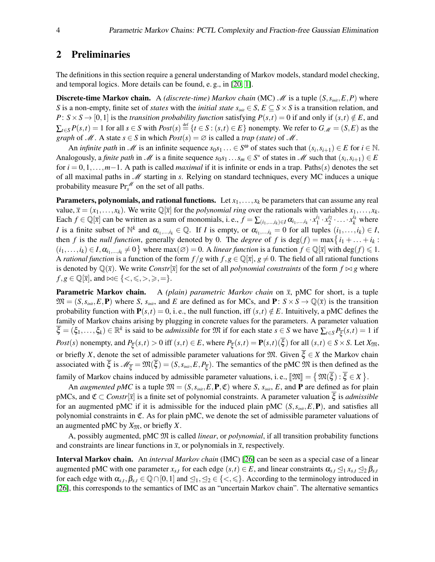# <span id="page-3-0"></span>2 Preliminaries

The definitions in this section require a general understanding of Markov models, standard model checking, and temporal logics. More details can be found, e. g., in [\[20,](#page-14-13) [1\]](#page-13-9).

**Discrete-time Markov chain.** A *(discrete-time) Markov chain* (MC)  $\mathcal{M}$  is a tuple  $(S, s_{init}, E, P)$  where *S* is a non-empty, finite set of *states* with the *initial state*  $s_{\text{init}} \in S$ ,  $E \subseteq S \times S$  is a transition relation, and *P*:  $S \times S \rightarrow [0, 1]$  is the *transition probability function* satisfying  $P(s,t) = 0$  if and only if  $(s,t) \notin E$ , and  $\sum_{t \in S} P(s,t) = 1$  for all  $s \in S$  with  $Post(s) \stackrel{\text{def}}{=} \{t \in S : (s,t) \in E\}$  nonempty. We refer to  $G_M = (S, E)$  as the *graph* of  $M$ . A state  $s \in S$  in which  $Post(s) = \emptyset$  is called a *trap (state)* of  $M$ .

An *infinite path* in *M* is an infinite sequence  $s_0s_1 \ldots \in S^{\omega}$  of states such that  $(s_i, s_{i+1}) \in E$  for  $i \in \mathbb{N}$ . Analogously, a *finite path* in *M* is a finite sequence  $s_0s_1 \dots s_m \in S^*$  of states in *M* such that  $(s_i, s_{i+1}) \in E$ for *i* = 0,1,...,*m*−1. A path is called *maximal* if it is infinite or ends in a trap. Paths(*s*) denotes the set of all maximal paths in M starting in *s*. Relying on standard techniques, every MC induces a unique probability measure  $\Pr_s^{\mathcal{M}}$  on the set of all paths.

**Parameters, polynomials, and rational functions.** Let  $x_1, \ldots, x_k$  be parameters that can assume any real value,  $\bar{x} = (x_1, \ldots, x_k)$ . We write  $\mathbb{Q}[\bar{x}]$  for the *polynomial ring* over the rationals with variables  $x_1, \ldots, x_k$ . Each  $f \in \mathbb{Q}[\overline{x}]$  can be written as a sum of monomials, i.e.,  $f = \sum_{(i_1,\dots,i_k)\in I} \alpha_{i_1,\dots,i_k} \cdot x_1^{i_1} \cdot x_2^{i_2} \cdot \dots \cdot x_k^{i_k}$  where *I* is a finite subset of  $\mathbb{N}^k$  and  $\alpha_{i_1,\dots,i_k} \in \mathbb{Q}$ . If *I* is empty, or  $\alpha_{i_1,\dots,i_k} = 0$  for all tuples  $(i_1,\dots,i_k) \in I$ , then *f* is the *null function*, generally denoted by 0. The *degree* of *f* is  $deg(f) = max\{i_1 + ... + i_k :$  $(i_1,...,i_k) \in I$ ,  $\alpha_{i_1,...,i_k} \neq 0$  where max $(\emptyset) = 0$ . A *linear function* is a function  $f \in \mathbb{Q}[\bar{x}]$  with  $\deg(f) \leq 1$ . A *rational function* is a function of the form  $f/g$  with  $f, g \in \mathbb{Q}[\bar{x}], g \neq 0$ . The field of all rational functions is denoted by  $\mathbb{Q}(\bar{x})$ . We write *Constr*[ $\bar{x}$ ] for the set of all *polynomial constraints* of the form  $f \bowtie g$  where  $f, g \in \mathbb{Q}[\bar{x}]$ , and  $\bowtie \in \{ \leq, \leq, >, \geq, = \}.$ 

**Parametric Markov chain.** A *(plain) parametric Markov chain* on  $\bar{x}$ , pMC for short, is a tuple  $\mathfrak{M} = (S, s_{\text{init}}, E, \mathbf{P})$  where *S*,  $s_{\text{init}}$ , and *E* are defined as for MCs, and **P**:  $S \times S \rightarrow \mathbb{Q}(\bar{x})$  is the transition probability function with  $P(s,t) = 0$ , i. e., the null function, iff  $(s,t) \notin E$ . Intuitively, a pMC defines the family of Markov chains arising by plugging in concrete values for the parameters. A parameter valuation  $\overline{\xi} = (\xi_1, \dots, \xi_k) \in \mathbb{R}^k$  is said to be *admissible* for  $\mathfrak{M}$  if for each state  $s \in S$  we have  $\sum_{t \in S} P_{\overline{\xi}}(s, t) = 1$  if Post(s) nonempty, and  $P_{\overline{\xi}}(s,t) > 0$  iff  $(s,t) \in E$ , where  $P_{\overline{\xi}}(s,t) = \mathbf{P}(s,t)(\xi)$  for all  $(s,t) \in S \times S$ . Let  $X_{\mathfrak{M}}$ , or briefly *X*, denote the set of admissible parameter valuations for  $\mathfrak{M}$ . Given  $\overline{\xi} \in X$  the Markov chain associated with  $\xi$  is  $\mathcal{M}_{\overline{\xi}} = \mathfrak{M}(\xi) = (S, s_{\text{init}}, E, P_{\overline{\xi}})$ . The semantics of the pMC  $\mathfrak{M}$  is then defined as the family of Markov chains induced by admissible parameter valuations, i.e.,  $[\mathfrak{M}] = {\mathfrak{M}(\xi) : \xi \in X}.$ 

An *augmented pMC* is a tuple  $\mathfrak{M} = (S, s_{\text{init}}, E, \mathbf{P}, \mathfrak{C})$  where *S*,  $s_{\text{init}}$ , *E*, and **P** are defined as for plain pMCs, and  $\mathfrak{C} \subset \text{Constr}[\overline{x}]$  is a finite set of polynomial constraints. A parameter valuation  $\overline{\xi}$  is *admissible* for an augmented pMC if it is admissible for the induced plain pMC  $(S, s_{init}, E, \mathbf{P})$ , and satisfies all polynomial constraints in C. As for plain pMC, we denote the set of admissible parameter valuations of an augmented pMC by  $X_{\mathfrak{M}}$ , or briefly *X*.

A, possibly augmented, pMC M is called *linear*, or *polynomial*, if all transition probability functions and constraints are linear functions in  $\bar{x}$ , or polynomials in  $\bar{x}$ , respectively.

Interval Markov chain. An *interval Markov chain* (IMC) [\[26\]](#page-14-6) can be seen as a special case of a linear augmented pMC with one parameter  $x_{s,t}$  for each edge  $(s,t) \in E$ , and linear constraints  $\alpha_{s,t} \leq_1 x_{s,t} \leq_2 \beta_{s,t}$ for each edge with  $\alpha_{s,t}, \beta_{s,t} \in \mathbb{Q} \cap [0,1]$  and  $\leq_1, \leq_2 \in \{<,\leq\}$ . According to the terminology introduced in [\[26\]](#page-14-6), this corresponds to the semantics of IMC as an "uncertain Markov chain". The alternative semantics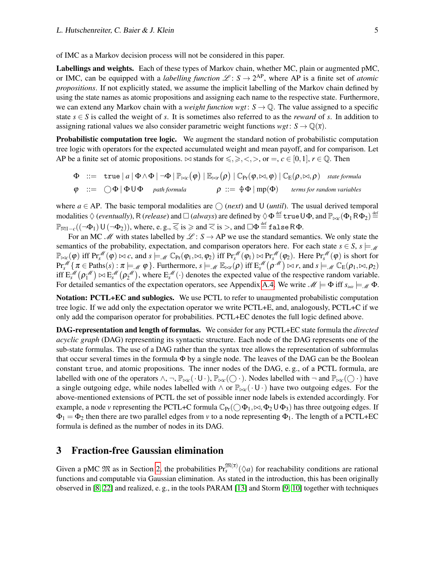of IMC as a Markov decision process will not be considered in this paper.

Labellings and weights. Each of these types of Markov chain, whether MC, plain or augmented pMC, or IMC, can be equipped with a *labelling function*  $\mathcal{L}: S \to 2^{AP}$ , where AP is a finite set of *atomic propositions*. If not explicitly stated, we assume the implicit labelling of the Markov chain defined by using the state names as atomic propositions and assigning each name to the respective state. Furthermore, we can extend any Markov chain with a *weight function*  $wgt: S \rightarrow \mathbb{Q}$ . The value assigned to a specific state  $s \in S$  is called the weight of *s*. It is sometimes also referred to as the *reward* of *s*. In addition to assigning rational values we also consider parametric weight functions  $wgt: S \rightarrow \mathbb{Q}(\bar{x})$ .

Probabilistic computation tree logic. We augment the standard notion of probabilistic computation tree logic with operators for the expected accumulated weight and mean payoff, and for comparison. Let AP be a finite set of atomic propositions.  $\bowtie$  stands for  $\leq, \geq, \leq, >$ , or  $=$ ,  $c \in [0,1]$ ,  $r \in \mathbb{Q}$ . Then

$$
\Phi ::= \text{true} |a| \Phi \wedge \Phi | \neg \Phi | \mathbb{P}_{\bowtie c}(\varphi) | \mathbb{E}_{\bowtie r}(\rho) | C_{\text{Pr}}(\varphi, \bowtie, \varphi) | C_{\text{E}}(\rho, \bowtie, \rho) \text{ state formula}
$$
\n
$$
\varphi ::= \bigcirc \Phi | \Phi \cup \Phi \text{ path formula} \qquad \rho ::= \Phi \Phi | \text{mp}(\Phi) \text{ terms for random variables}
$$

where  $a \in AP$ . The basic temporal modalities are  $\bigcap$  (*next*) and U (*until*). The usual derived temporal modalities  $\Diamond$  (*eventually*), R (*release*) and  $\Box$  (*always*) are defined by  $\Diamond \Phi\!\stackrel{\text{def}}{=}$  true U $\Phi$ , and  $\mathbb{P}_{\bowtie c}(\Phi_1\mathsf{R}\Phi_2)\!\stackrel{\text{def}}{=}$  $\mathbb{P}_{\overline{\bowtie} 1-c}((\neg\Phi_1)\mathsf{U}(\neg\Phi_2)),$  where, e. g.,  $\overline{\leqslant}$  is  $\geqslant$  and  $\overline{<}$  is  $>$ , and  $\Box\Phi\stackrel{\scriptscriptstyle\rm def}{=}$  false R  $\Phi$ .

For an MC  $\mathcal{M}$  with states labelled by  $\mathcal{L}: S \to AP$  we use the standard semantics. We only state the semantics of the probability, expectation, and comparison operators here. For each state  $s \in S$ ,  $s \models M$  $\mathbb{P}_{\bowtie c}(\varphi)$  iff  $\Pr_s^{\mathscr{M}}(\varphi) \bowtie c$ , and  $s \models_{\mathscr{M}} \mathbb{C}_{\Pr}(\varphi_1, \bowtie, \varphi_2)$  iff  $\Pr_s^{\mathscr{M}}(\varphi_1) \bowtie \Pr_s^{\mathscr{M}}(\varphi_2)$ . Here  $\Pr_s^{\mathscr{M}}(\varphi)$  is short for  $\Pr_s^{\mathscr{M}}\{\pi \in \text{Paths}(s) : \pi \models_{\mathscr{M}} \varphi\}$ . Furthermore,  $s \models_{\mathscr{M}} \mathbb{E}_{\bowtie r}(\rho)$  iff  $E_s^{\mathscr{M}}(\rho^{\mathscr{M}}) \bowtie r$ , and  $s \models_{\mathscr{M}} \mathbb{C}_{E}(\rho_1, \bowtie, \rho_2)$ iff  $E_s^{\mathscr{M}}(\rho_1^{\mathscr{M}}) \bowtie E_s^{\mathscr{M}}(\rho_2^{\mathscr{M}})$ , where  $E_s^{\mathscr{M}}(\cdot)$  denotes the expected value of the respective random variable. For detailed semantics of the expectation operators, see Appendix [A.4.](#page-16-0) We write  $\mathcal{M} \models \Phi$  iff  $s_{init} \models \mathcal{M} \Phi$ .

Notation: PCTL+EC and sublogics. We use PCTL to refer to unaugmented probabilistic computation tree logic. If we add only the expectation operator we write PCTL+E, and, analogously, PCTL+C if we only add the comparison operator for probabilities. PCTL+EC denotes the full logic defined above.

DAG-representation and length of formulas. We consider for any PCTL+EC state formula the *directed acyclic graph* (DAG) representing its syntactic structure. Each node of the DAG represents one of the sub-state formulas. The use of a DAG rather than the syntax tree allows the representation of subformulas that occur several times in the formula  $\Phi$  by a single node. The leaves of the DAG can be the Boolean constant true, and atomic propositions. The inner nodes of the DAG, e. g., of a PCTL formula, are labelled with one of the operators  $\wedge$ ,  $\neg$ ,  $\mathbb{P}_{\bowtie c}(\cdot \cup \cdot)$ ,  $\mathbb{P}_{\bowtie c}(\bigcirc \cdot)$ . Nodes labelled with  $\neg$  and  $\mathbb{P}_{\bowtie c}(\bigcirc \cdot)$  have a single outgoing edge, while nodes labelled with ∧ or  $\mathbb{P}_{\bowtie c}(\cdot \cup \cdot)$  have two outgoing edges. For the above-mentioned extensions of PCTL the set of possible inner node labels is extended accordingly. For example, a node *v* representing the PCTL+C formula  $\mathbb{C}_{Pr}(\bigcirc \Phi_1, \bowtie, \Phi_2 \cup \Phi_3)$  has three outgoing edges. If  $\Phi_1 = \Phi_2$  then there are two parallel edges from *v* to a node representing  $\Phi_1$ . The length of a PCTL+EC formula is defined as the number of nodes in its DAG.

## <span id="page-4-0"></span>3 Fraction-free Gaussian elimination

Given a pMC  $\mathfrak{M}$  as in Section [2,](#page-3-0) the probabilities  $Pr_s^{\mathfrak{M}(\bar{x})}(\Diamond a)$  for reachability conditions are rational functions and computable via Gaussian elimination. As stated in the introduction, this has been originally observed in [\[8,](#page-13-0) [22\]](#page-14-1) and realized, e. g., in the tools PARAM [\[13\]](#page-13-1) and Storm [\[9,](#page-13-6) [10\]](#page-13-3) together with techniques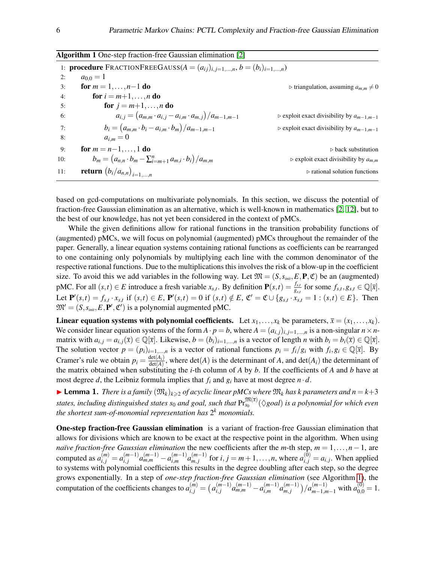<span id="page-5-0"></span>

|     | <b>Algorithm 1</b> One-step fraction-free Gaussian elimination [2]                        |                                                              |
|-----|-------------------------------------------------------------------------------------------|--------------------------------------------------------------|
|     | 1: <b>procedure</b> FRACTIONFREEGAUSS( $A = (a_{ij})_{i,j=1,,n}$ , $b = (b_i)_{i=1,,n}$ ) |                                                              |
| 2:  | $a_{0,0} = 1$                                                                             |                                                              |
| 3:  | for $m = 1, , n-1$ do                                                                     | $\triangleright$ triangulation, assuming $a_{m,m}\neq 0$     |
| 4:  | for $i = m+1, \ldots, n$ do                                                               |                                                              |
| 5:  | <b>for</b> $j = m+1, , n$ <b>do</b>                                                       |                                                              |
| 6:  | $a_{i,j} = (a_{m,m} \cdot a_{i,j} - a_{i,m} \cdot a_{m,j})/a_{m-1,m-1}$                   | $\triangleright$ exploit exact divisibility by $a_{m-1,m-1}$ |
| 7:  | $b_i = (a_{m,m} \cdot b_i - a_{i,m} \cdot b_m)/a_{m-1,m-1}$                               | $\triangleright$ exploit exact divisibility by $a_{m-1,m-1}$ |
| 8:  | $a_{i,m}=0$                                                                               |                                                              |
| 9:  | for $m = n - 1, , 1$ do                                                                   | $\triangleright$ back substitution                           |
| 10: | $b_m = (a_{n,n} \cdot b_m - \sum_{i=m+1}^n a_{m,i} \cdot b_i)/a_{m,m}$                    | $\triangleright$ exploit exact divisibility by $a_{m,m}$     |
| 11: | <b>return</b> $(b_i/a_{n,n})_{i=1,,n}$                                                    | $\triangleright$ rational solution functions                 |

based on gcd-computations on multivariate polynomials. In this section, we discuss the potential of fraction-free Gaussian elimination as an alternative, which is well-known in mathematics [\[2,](#page-13-4) [12\]](#page-13-2), but to the best of our knowledge, has not yet been considered in the context of pMCs.

While the given definitions allow for rational functions in the transition probability functions of (augmented) pMCs, we will focus on polynomial (augmented) pMCs throughout the remainder of the paper. Generally, a linear equation systems containing rational functions as coefficients can be rearranged to one containing only polynomials by multiplying each line with the common denominator of the respective rational functions. Due to the multiplications this involves the risk of a blow-up in the coefficient size. To avoid this we add variables in the following way. Let  $\mathfrak{M} = (S, s_{\text{init}}, E, \mathbf{P}, \mathfrak{C})$  be an (augmented) pMC. For all  $(s,t) \in E$  introduce a fresh variable  $x_{s,t}$ . By definition  $\mathbf{P}(s,t) = \frac{f_{s,t}}{g_{s,t}}$  for some  $f_{s,t}, g_{s,t} \in \mathbb{Q}[\overline{x}]$ . Let  $\mathbf{P}'(s,t) = f_{s,t} \cdot x_{s,t}$  if  $(s,t) \in E$ ,  $\mathbf{P}'(s,t) = 0$  if  $(s,t) \notin E$ ,  $\mathfrak{C}' = \mathfrak{C} \cup \{g_{s,t} \cdot x_{s,t} = 1 : (s,t) \in E\}$ . Then  $\mathfrak{M}' = (S, s_{\text{init}}, E, \mathbf{P}', \mathfrak{C}')$  is a polynomial augmented pMC.

Linear equation systems with polynomial coefficients. Let  $x_1, \ldots, x_k$  be parameters,  $\bar{x} = (x_1, \ldots, x_k)$ . We consider linear equation systems of the form  $A \cdot p = b$ , where  $A = (a_{i,j})_{i,j=1,\dots,n}$  is a non-singular  $n \times n$ matrix with  $a_{i,j} = a_{i,j}(\bar{x}) \in \mathbb{Q}[\bar{x}]$ . Likewise,  $b = (b_i)_{i=1,\dots,n}$  is a vector of length *n* with  $b_i = b_i(\bar{x}) \in \mathbb{Q}[\bar{x}]$ . The solution vector  $p = (p_i)_{i=1,\dots,n}$  is a vector of rational functions  $p_i = f_i/g_i$  with  $f_i, g_i \in \mathbb{Q}[\bar{x}]$ . By Cramer's rule we obtain  $p_i = \frac{\det(A_i)}{\det(A_i)}$  $\frac{\det(A_i)}{\det(A)}$ , where  $\det(A)$  is the determinant of *A*, and  $\det(A_i)$  the determinant of the matrix obtained when substituting the *i*-th column of *A* by *b*. If the coefficients of *A* and *b* have at most degree *d*, the Leibniz formula implies that  $f_i$  and  $g_i$  have at most degree  $n \cdot d$ .

<span id="page-5-1"></span>**Example 1.** *There is a family*  $(\mathfrak{M}_k)_{k\geqslant2}$  *of acyclic linear pMCs where*  $\mathfrak{M}_k$  *has k parameters and*  $n = k+3$  $s$ tates, including distinguished states  $s_0$  and goal, such that  $\mathrm{Pr}_{s_0}^{\mathfrak{M}(\overline{x})}(\Diamond goal)$  is a polynomial for which even *the shortest sum-of-monomial representation has* 2 *<sup>k</sup> monomials.*

One-step fraction-free Gaussian elimination is a variant of fraction-free Gaussian elimination that allows for divisions which are known to be exact at the respective point in the algorithm. When using *na¨ıve fraction-free Gaussian elimination* the new coefficients after the *m*-th step, *m* = 1,...,*n*−1, are computed as  $a_{i,j}^{(m)} = a_{i,j}^{(m-1)}$  $a_{i,j}^{(m-1)}a_{m,m}^{(m-1)}-a_{i,m}^{(m-1)}$  $a_{m,j}^{(m-1)} a_{m,j}^{(m-1)}$  $\binom{(m-1)}{m,j}$  for  $i, j = m+1, \ldots, n$ , where  $a_{i,j}^{(0)} = a_{i,j}$ . When applied to systems with polynomial coefficients this results in the degree doubling after each step, so the degree grows exponentially. In a step of *one-step fraction-free Gaussian elimination* (see Algorithm [1\)](#page-5-0), the computation of the coefficients changes to  $a_{i,j}^{(m)} = \left( a_{i,j}^{(m-1)} \right)$  $a_{i,j}^{(m-1)}a_{m,m}^{(m-1)}-a_{i,m}^{(m-1)}$  $a_{m,j}^{(m-1)} a_{m,j}^{(m-1)}$  $\binom{(m-1)}{m,j}/a^{(m-1)}_{m-1,m-1}$  with  $a^{(0)}_{0,0} = 1$ .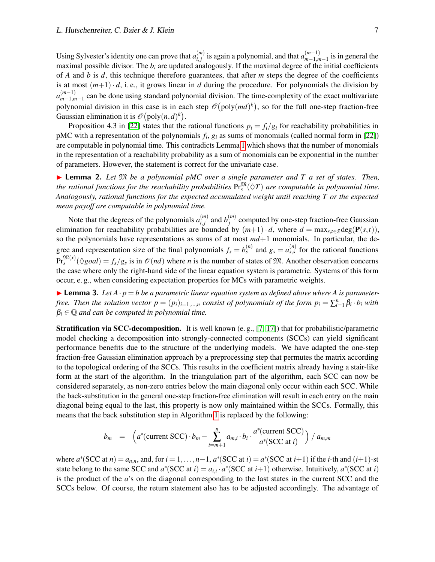Using Sylvester's identity one can prove that  $a_{i,j}^{(m)}$  $\binom{m}{i,j}$  is again a polynomial, and that  $a_{m-1,m}^{(m-1)}$  $\binom{m-1}{m-1,m-1}$  is in general the maximal possible divisor. The  $b_i$  are updated analogously. If the maximal degree of the initial coefficients of *A* and *b* is *d*, this technique therefore guarantees, that after *m* steps the degree of the coefficients is at most  $(m+1) \cdot d$ , i.e., it grows linear in *d* during the procedure. For polynomials the division by  $a_{m-1,n}^{(m-1)}$ <sup>*m*−1</sup>,*m*−1</sub> can be done using standard polynomial division. The time-complexity of the exact multivariate polynomial division in this case is in each step  $\mathcal{O}(poly(md)^k)$ , so for the full one-step fraction-free Gaussian elimination it is  $\mathcal{O}(\text{poly}(n,d)^k)$ .

Proposition 4.3 in [\[22\]](#page-14-1) states that the rational functions  $p_i = f_i/g_i$  for reachability probabilities in pMC with a representation of the polynomials *f<sup>i</sup>* , *g<sup>i</sup>* as sums of monomials (called normal form in [\[22\]](#page-14-1)) are computable in polynomial time. This contradicts Lemma [1](#page-5-1) which shows that the number of monomials in the representation of a reachability probability as a sum of monomials can be exponential in the number of parameters. However, the statement is correct for the univariate case.

<span id="page-6-0"></span>▶ Lemma 2. *Let*  $\mathfrak{M}$  *be a polynomial pMC over a single parameter and T a set of states. Then,* the rational functions for the reachability probabilities  $\Pr^{\mathfrak{M}}_s(\Diamond T)$  are computable in polynomial time. *Analogously, rational functions for the expected accumulated weight until reaching T or the expected mean payoff are computable in polynomial time.*

Note that the degrees of the polynomials  $a_{i,j}^{(m)}$  $\binom{m}{i,j}$  and  $b_j^{(m)}$  $j^{(m)}$  computed by one-step fraction-free Gaussian elimination for reachability probabilities are bounded by  $(m+1) \cdot d$ , where  $d = \max_{s,t \in S} \deg(\mathbf{P}(s,t))$ , so the polynomials have representations as sums of at most  $md+1$  monomials. In particular, the degree and representation size of the final polynomials  $f_s = b_s^{(n)}$  and  $g_s = a_{s,s}^{(n)}$  for the rational functions  $Pr_s^{\mathfrak{M}(x)}(\Diamond goal) = f_s/g_s$  is in  $\mathcal{O}(nd)$  where *n* is the number of states of M. Another observation concerns the case where only the right-hand side of the linear equation system is parametric. Systems of this form occur, e. g., when considering expectation properties for MCs with parametric weights.

<span id="page-6-1"></span>**I Lemma 3.** Let  $A \cdot p = b$  be a parametric linear equation system as defined above where A is parameter*free. Then the solution vector*  $p = (p_i)_{i=1,...,n}$  *consist of polynomials of the form*  $p_i = \sum_{i=1}^n \beta_i \cdot b_i$  *with*  $\beta_i \in \mathbb{Q}$  *and can be computed in polynomial time.* 

Stratification via SCC-decomposition. It is well known (e. g., [\[7,](#page-13-10) [17\]](#page-14-4)) that for probabilistic/parametric model checking a decomposition into strongly-connected components (SCCs) can yield significant performance benefits due to the structure of the underlying models. We have adapted the one-step fraction-free Gaussian elimination approach by a preprocessing step that permutes the matrix according to the topological ordering of the SCCs. This results in the coefficient matrix already having a stair-like form at the start of the algorithm. In the triangulation part of the algorithm, each SCC can now be considered separately, as non-zero entries below the main diagonal only occur within each SCC. While the back-substitution in the general one-step fraction-free elimination will result in each entry on the main diagonal being equal to the last, this property is now only maintained within the SCCs. Formally, this means that the back substitution step in Algorithm [1](#page-5-0) is replaced by the following:

$$
b_m = \left( a^*(\text{current SCC}) \cdot b_m - \sum_{i=m+1}^n a_{m,i} \cdot b_i \cdot \frac{a^*(\text{current SCC})}{a^*(\text{SCC at } i)} \right) / a_{m,m}
$$

where  $a^*(SCC \text{ at } n) = a_{n,n}$ , and, for  $i = 1, ..., n-1$ ,  $a^*(SCC \text{ at } i) = a^*(SCC \text{ at } i+1)$  if the *i*-th and  $(i+1)$ -st state belong to the same SCC and  $a^*(SCC \text{ at } i) = a_{i,i} \cdot a^*(SCC \text{ at } i+1)$  otherwise. Intuitively,  $a^*(SCC \text{ at } i)$ is the product of the *a*'s on the diagonal corresponding to the last states in the current SCC and the SCCs below. Of course, the return statement also has to be adjusted accordingly. The advantage of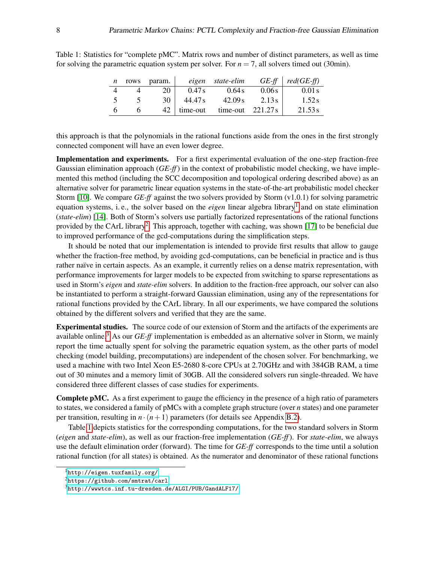| $n$ rows | param. |                  | eigen state-elim                    |        | $GE-ff$ $red(GE-ff)$ |
|----------|--------|------------------|-------------------------------------|--------|----------------------|
|          | 20     | 0.47 s           | 0.64 s                              | 0.06s  | $0.01$ s             |
|          |        | $30 \mid 44.47s$ | 42.09 s                             | 2.13 s | 1.52s                |
|          |        |                  | $42$   time-out time-out $221.27 s$ |        | 21.53 s              |

<span id="page-7-3"></span>Table 1: Statistics for "complete pMC". Matrix rows and number of distinct parameters, as well as time for solving the parametric equation system per solver. For  $n = 7$ , all solvers timed out (30min).

this approach is that the polynomials in the rational functions aside from the ones in the first strongly connected component will have an even lower degree.

Implementation and experiments. For a first experimental evaluation of the one-step fraction-free Gaussian elimination approach (*GE-ff*) in the context of probabilistic model checking, we have implemented this method (including the SCC decomposition and topological ordering described above) as an alternative solver for parametric linear equation systems in the state-of-the-art probabilistic model checker Storm [\[10\]](#page-13-3). We compare *GE-ff* against the two solvers provided by Storm (v1.0.1) for solving parametric equation systems, i.e., the solver based on the *eigen* linear algebra library<sup>[1](#page-7-0)</sup> and on state elimination (*state-elim*) [\[14\]](#page-14-2). Both of Storm's solvers use partially factorized representations of the rational functions provided by the CArL library<sup>[2](#page-7-1)</sup>. This approach, together with caching, was shown [\[17\]](#page-14-4) to be beneficial due to improved performance of the gcd-computations during the simplification steps.

It should be noted that our implementation is intended to provide first results that allow to gauge whether the fraction-free method, by avoiding gcd-computations, can be beneficial in practice and is thus rather naïve in certain aspects. As an example, it currently relies on a dense matrix representation, with performance improvements for larger models to be expected from switching to sparse representations as used in Storm's *eigen* and *state-elim* solvers. In addition to the fraction-free approach, our solver can also be instantiated to perform a straight-forward Gaussian elimination, using any of the representations for rational functions provided by the CArL library. In all our experiments, we have compared the solutions obtained by the different solvers and verified that they are the same.

Experimental studies. The source code of our extension of Storm and the artifacts of the experiments are available online.[3](#page-7-2) As our *GE-ff* implementation is embedded as an alternative solver in Storm, we mainly report the time actually spent for solving the parametric equation system, as the other parts of model checking (model building, precomputations) are independent of the chosen solver. For benchmarking, we used a machine with two Intel Xeon E5-2680 8-core CPUs at 2.70GHz and with 384GB RAM, a time out of 30 minutes and a memory limit of 30GB. All the considered solvers run single-threaded. We have considered three different classes of case studies for experiments.

Complete pMC. As a first experiment to gauge the efficiency in the presence of a high ratio of parameters to states, we considered a family of pMCs with a complete graph structure (over *n* states) and one parameter per transition, resulting in  $n \cdot (n+1)$  parameters (for details see Appendix [B.2\)](#page-20-0).

Table [1](#page-7-3) depicts statistics for the corresponding computations, for the two standard solvers in Storm (*eigen* and *state-elim*), as well as our fraction-free implementation (*GE-ff*). For *state-elim*, we always use the default elimination order (forward). The time for *GE-ff* corresponds to the time until a solution rational function (for all states) is obtained. As the numerator and denominator of these rational functions

<span id="page-7-0"></span><sup>1</sup><http://eigen.tuxfamily.org/>

<span id="page-7-1"></span> $2$ <https://github.com/smtrat/carl>

<span id="page-7-2"></span> $3$ <http://wwwtcs.inf.tu-dresden.de/ALGI/PUB/GandALF17/>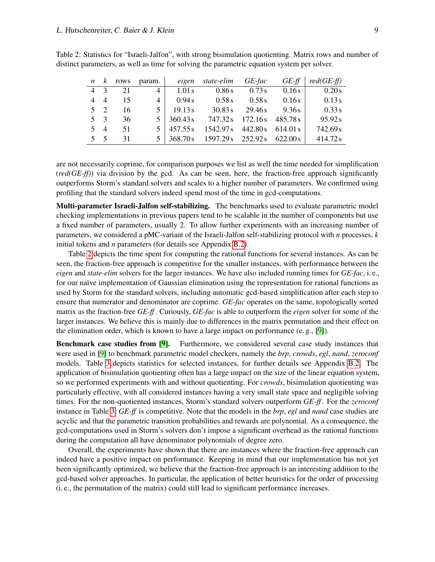|             | $n \&$      | rows | param.         |                             | eigen state-elim                             | $GE$ -fac               | $GE$ -ff | $red(GE\text{-}ff)$ |
|-------------|-------------|------|----------------|-----------------------------|----------------------------------------------|-------------------------|----------|---------------------|
| $4 \quad 3$ |             | 21   | $\overline{4}$ | 1.01 s                      | 0.86s                                        | 0.73s                   | 0.16s    | 0.20s               |
|             | $4\quad 4$  | 15   | $\overline{4}$ | 0.94 s                      | 0.58 s                                       | 0.58s                   | 0.16s    | 0.13s               |
|             | $5 \t2$     | 16   | 5 <sup>1</sup> | 19.13 s                     | 30.83 s                                      | 29.46s                  | 9.36 s   | 0.33 s              |
|             | $5 \quad 3$ | 36   |                | $5 \mid 360.43 \, \text{s}$ |                                              | 747.32s 172.16s 485.78s |          | 95.92s              |
|             | $5 \quad 4$ | 51   |                | $5 \mid 457.55s$            | 1542.97s 442.80s 614.01 s                    |                         |          | 742.69s             |
|             | 5 5         | 31   |                |                             | $5   368.70s   1597.29s   252.92s   622.00s$ |                         |          | 414.72s             |

<span id="page-8-0"></span>Table 2: Statistics for "Israeli-Jalfon", with strong bisimulation quotienting. Matrix rows and number of distinct parameters, as well as time for solving the parametric equation system per solver.

are not necessarily coprime, for comparison purposes we list as well the time needed for simplification (*red(GE-ff)*) via division by the gcd. As can be seen, here, the fraction-free approach significantly outperforms Storm's standard solvers and scales to a higher number of parameters. We confirmed using profiling that the standard solvers indeed spend most of the time in gcd-computations.

Multi-parameter Israeli-Jalfon self-stabilizing. The benchmarks used to evaluate parametric model checking implementations in previous papers tend to be scalable in the number of components but use a fixed number of parameters, usually 2. To allow further experiments with an increasing number of parameters, we considered a pMC-variant of the Israeli-Jalfon self-stabilizing protocol with *n* processes, *k* initial tokens and *n* parameters (for details see Appendix [B.2\)](#page-20-0).

Table [2](#page-8-0) depicts the time spent for computing the rational functions for several instances. As can be seen, the fraction-free approach is competitive for the smaller instances, with performance between the *eigen* and *state-elim* solvers for the larger instances. We have also included running times for *GE-fac*, i. e., for our naïve implementation of Gaussian elimination using the representation for rational functions as used by Storm for the standard solvers, including automatic gcd-based simplification after each step to ensure that numerator and denominator are coprime. *GE-fac* operates on the same, topologically sorted matrix as the fraction-free *GE-ff* . Curiously, *GE-fac* is able to outperform the *eigen* solver for some of the larger instances. We believe this is mainly due to differences in the matrix permutation and their effect on the elimination order, which is known to have a large impact on performance (e. g., [\[9\]](#page-13-6)).

Benchmark case studies from [\[9\]](#page-13-6). Furthermore, we considered several case study instances that were used in [\[9\]](#page-13-6) to benchmark parametric model checkers, namely the *brp*, *crowds*, *egl*, *nand*, *zeroconf* models. Table [3](#page-9-1) depicts statistics for selected instances, for further details see Appendix [B.2.](#page-20-0) The application of bisimulation quotienting often has a large impact on the size of the linear equation system, so we performed experiments with and without quotienting. For *crowds*, bisimulation quotienting was particularly effective, with all considered instances having a very small state space and negligible solving times. For the non-quotiented instances, Storm's standard solvers outperform *GE-ff* . For the *zeroconf* instance in Table [3,](#page-9-1) *GE-ff* is competitive. Note that the models in the *brp*, *egl* and *nand* case studies are acyclic and that the parametric transition probabilities and rewards are polynomial. As a consequence, the gcd-computations used in Storm's solvers don't impose a significant overhead as the rational functions during the computation all have denominator polynomials of degree zero.

Overall, the experiments have shown that there are instances where the fraction-free approach can indeed have a positive impact on performance. Keeping in mind that our implementation has not yet been significantly optimized, we believe that the fraction-free approach is an interesting addition to the gcd-based solver approaches. In particular, the application of better heuristics for the order of processing (i. e., the permutation of the matrix) could still lead to significant performance increases.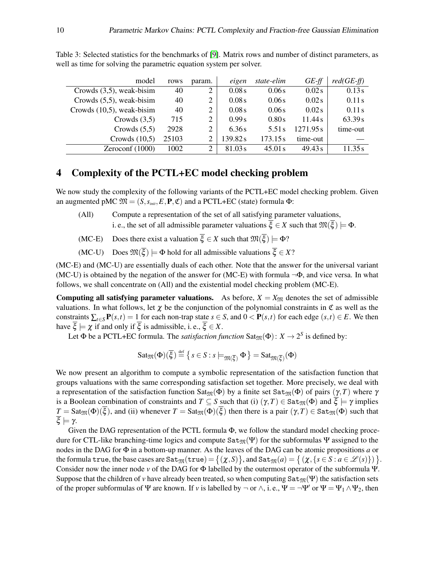| model                        | rows  | param. | eigen   | state-elim | $GE-ff$  | $red(GE-ff)$ |
|------------------------------|-------|--------|---------|------------|----------|--------------|
| Crowds $(3,5)$ , weak-bisim  | 40    | 2      | 0.08s   | 0.06s      | 0.02s    | 0.13s        |
| Crowds $(5,5)$ , weak-bisim  | 40    | 2      | 0.08s   | 0.06s      | 0.02s    | 0.11s        |
| Crowds $(10,5)$ , weak-bisim | 40    | 2      | 0.08s   | 0.06s      | 0.02s    | 0.11s        |
| Crowds $(3,5)$               | 715   | 2      | 0.99s   | 0.80s      | 11.44 s  | 63.39s       |
| Crowds $(5,5)$               | 2928  | 2      | 6.36s   | 5.51 s     | 1271.95s | time-out     |
| Crowds $(10,5)$              | 25103 | 2      | 139.82s | 173.15s    | time-out |              |
| Zeroconf $(1000)$            | 1002  | 2      | 81.03s  | 45.01 s    | 49.43 s  | 11.35 s      |

<span id="page-9-1"></span>Table 3: Selected statistics for the benchmarks of [\[9\]](#page-13-6). Matrix rows and number of distinct parameters, as well as time for solving the parametric equation system per solver.

# <span id="page-9-0"></span>4 Complexity of the PCTL+EC model checking problem

We now study the complexity of the following variants of the PCTL+EC model checking problem. Given an augmented pMC  $\mathfrak{M} = (S, s_{\text{init}}, E, \mathbf{P}, \mathfrak{C})$  and a PCTL+EC (state) formula  $\Phi$ :

- (All) Compute a representation of the set of all satisfying parameter valuations, i. e., the set of all admissible parameter valuations  $\overline{\xi} \in X$  such that  $\mathfrak{M}(\overline{\xi}) \models \Phi$ .
- (MC-E) Does there exist a valuation  $\overline{\xi} \in X$  such that  $\mathfrak{M}(\overline{\xi}) \models \Phi$ ?

(MC-U) Does  $\mathfrak{M}(\overline{\xi}) \models \Phi$  hold for all admissible valuations  $\overline{\xi} \in X$ ?

(MC-E) and (MC-U) are essentially duals of each other. Note that the answer for the universal variant (MC-U) is obtained by the negation of the answer for (MC-E) with formula  $\neg \Phi$ , and vice versa. In what follows, we shall concentrate on (All) and the existential model checking problem (MC-E).

**Computing all satisfying parameter valuations.** As before,  $X = X_{\mathfrak{M}}$  denotes the set of admissible valuations. In what follows, let  $\chi$  be the conjunction of the polynomial constraints in  $\mathfrak C$  as well as the constraints  $\sum_{t \in S} P(s,t) = 1$  for each non-trap state  $s \in S$ , and  $0 \lt P(s,t)$  for each edge  $(s,t) \in E$ . We then have  $\overline{\xi} \models \chi$  if and only if  $\overline{\xi}$  is admissible, i. e.,  $\overline{\xi} \in X$ .

Let  $\Phi$  be a PCTL+EC formula. The *satisfaction function* Sat<sub> $\mathfrak{M}(\Phi)$ :  $X \to 2^S$  is defined by:</sub>

$$
\mathrm{Sat}_{\mathfrak{M}}(\Phi)(\overline{\xi}) \stackrel{\text{def}}{=} \{ s \in S : s \models_{\mathfrak{M}(\overline{\xi})} \Phi \} = \mathrm{Sat}_{\mathfrak{M}(\overline{\xi})}(\Phi)
$$

We now present an algorithm to compute a symbolic representation of the satisfaction function that groups valuations with the same corresponding satisfaction set together. More precisely, we deal with a representation of the satisfaction function Sat<sub>M</sub>( $\Phi$ ) by a finite set Sat<sub>M</sub>( $\Phi$ ) of pairs ( $\gamma$ ,*T*) where  $\gamma$ is a Boolean combination of constraints and  $T \subseteq S$  such that (i)  $(\gamma, T) \in \text{Sat}_{\mathfrak{M}}(\Phi)$  and  $\xi \models \gamma$  implies  $T = \text{Sat}_{\mathfrak{M}}(\Phi)(\overline{\xi})$ , and (ii) whenever  $T = \text{Sat}_{\mathfrak{M}}(\Phi)(\overline{\xi})$  then there is a pair  $(\gamma, T) \in \text{Sat}_{\mathfrak{M}}(\Phi)$  such that  $\overline{\xi} \models \gamma$ .

Given the DAG representation of the PCTL formula Φ, we follow the standard model checking procedure for CTL-like branching-time logics and compute  $\text{Sat}_{\mathfrak{M}}(\Psi)$  for the subformulas  $\Psi$  assigned to the nodes in the DAG for Φ in a bottom-up manner. As the leaves of the DAG can be atomic propositions *a* or  $\text{the formula true, the base cases are } \texttt{Sat}_{\mathfrak{M}}(\texttt{true}) = \big\{(\boldsymbol{\chi},S)\big\}, \text{and } \texttt{Sat}_{\mathfrak{M}}(a) = \big\{\left(\boldsymbol{\chi},\{s\in S: a\in \mathscr{L}(s)\}\right)\big\}.$ Consider now the inner node *v* of the DAG for Φ labelled by the outermost operator of the subformula Ψ. Suppose that the children of *v* have already been treated, so when computing  $\text{Sat}_{\mathfrak{M}}(\Psi)$  the satisfaction sets of the proper subformulas of  $\Psi$  are known. If *v* is labelled by  $\neg$  or  $\wedge$ , i. e.,  $\Psi = \neg \Psi'$  or  $\Psi = \Psi_1 \wedge \Psi_2$ , then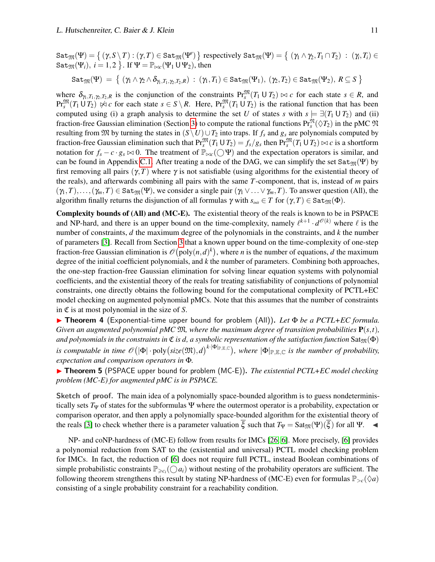$\texttt{Sat}_\mathfrak{M}(\Psi)=\big\{\,(\gamma,S\setminus T): (\gamma,T)\in \texttt{Sat}_\mathfrak{M}(\Psi')\,\big\}$  respectively  $\texttt{Sat}_\mathfrak{M}(\Psi)=\big\{\;(\gamma_1\land\gamma_2,T_1\cap T_2)\;:\; (\gamma_i,T_i)\in \mathfrak{M}(\Psi)\big\}.$  $\texttt{Sat}_{\mathfrak{M}}(\Psi_i),\ i=1,2\ \big\}.$  If  $\Psi = \mathbb{P}_{\bowtie c}(\Psi_1 \cup \Psi_2),$  then

$$
\mathtt{Sat}_\mathfrak{M}(\Psi) \,=\, \left\{\; (\gamma_1\wedge \gamma_2\wedge \delta_{\gamma_1,T_1,\gamma_2,T_2,R})\,:\, (\gamma_1,T_1)\in \mathtt{Sat}_\mathfrak{M}(\Psi_1),\, (\gamma_2,T_2)\in \mathtt{Sat}_\mathfrak{M}(\Psi_2),\, R\subseteq S \;\right\}
$$

where  $\delta_{\gamma_1, T_1, \gamma_2, T_2, R}$  is the conjunction of the constraints  $Pr_s^{\mathfrak{M}}(T_1 \cup T_2) \bowtie c$  for each state  $s \in R$ , and  $\Pr_s^{\mathfrak{M}}(T_1 \cup T_2) \not\approx c$  for each state  $s \in S \setminus R$ . Here,  $\Pr_s^{\mathfrak{M}}(T_1 \cup T_2)$  is the rational function that has been computed using (i) a graph analysis to determine the set *U* of states *s* with  $s \models \exists (T_1 \cup T_2)$  and (ii) fraction-free Gaussian elimination (Section [3\)](#page-4-0) to compute the rational functions  $Pr_s^{\mathfrak{N}}(\Diamond T_2)$  in the pMC  $\mathfrak{N}$ resulting from  $\mathfrak{M}$  by turning the states in  $(S \setminus U) \cup T_2$  into traps. If  $f_s$  and  $g_s$  are polynomials computed by fraction-free Gaussian elimination such that  $\Pr_s^{\mathfrak{M}}(T_1 \cup T_2) = f_s/g_s$  then  $\Pr_s^{\mathfrak{M}}(T_1 \cup T_2) \bowtie c$  is a shortform notation for  $f_s - c \cdot g_s \bowtie 0$ . The treatment of  $\mathbb{P}_{\bowtie c}(\bigcirc \Psi)$  and the expectation operators is similar, and can be found in Appendix [C.1.](#page-24-0) After treating a node of the DAG, we can simplify the set  $Sat_{\mathfrak{M}}(\Psi)$  by first removing all pairs  $(\gamma, T)$  where  $\gamma$  is not satisfiable (using algorithms for the existential theory of the reals), and afterwards combining all pairs with the same *T*-component, that is, instead of *m* pairs  $(\gamma_1, T), \ldots, (\gamma_m, T) \in \text{Sat}_{\mathfrak{M}}(\Psi)$ , we consider a single pair  $(\gamma_1 \vee \ldots \vee \gamma_m, T)$ . To answer question (All), the algorithm finally returns the disjunction of all formulas  $\gamma$  with  $s_{init} \in T$  for  $(\gamma, T) \in \text{Sat}_{\mathfrak{M}}(\Phi)$ .

Complexity bounds of (All) and (MC-E). The existential theory of the reals is known to be in PSPACE and NP-hard, and there is an upper bound on the time-complexity, namely  $\ell^{k+1} \cdot d^{\mathcal{O}(k)}$  where  $\ell$  is the number of constraints, *d* the maximum degree of the polynomials in the constraints, and *k* the number of parameters [\[3\]](#page-13-11). Recall from Section [3](#page-4-0) that a known upper bound on the time-complexity of one-step fraction-free Gaussian elimination is  $\mathcal{O}(\text{poly}(n,d)^k)$ , where *n* is the number of equations, *d* the maximum degree of the initial coefficient polynomials, and *k* the number of parameters. Combining both approaches, the one-step fraction-free Gaussian elimination for solving linear equation systems with polynomial coefficients, and the existential theory of the reals for treating satisfiability of conjunctions of polynomial constraints, one directly obtains the following bound for the computational complexity of PCTL+EC model checking on augmented polynomial pMCs. Note that this assumes that the number of constraints in C is at most polynomial in the size of *S*.

**Fifther** 1 (Exponential-time upper bound for problem (All)). Let Φ be a PCTL+EC formula. *Given an augmented polynomial pMC*  $\mathfrak{M}$ *, where the maximum degree of transition probabilities*  $\mathbf{P}(s,t)$ *, and polynomials in the constraints in*  $\mathfrak C$  *is d, a symbolic representation of the satisfaction function*  $\text{Sat}_{\mathfrak M}(\Phi)$ *is computable in time*  $\mathscr{O}(|\Phi| \cdot \text{poly}(size(\mathfrak{M}),d)^{k \cdot |\Phi|_{\mathbb{P},\mathbb{E},\mathbb{C}}})$ , where  $|\Phi|_{\mathbb{P},\mathbb{E},\mathbb{C}}$  *is the number of probability, expectation and comparison operators in* Φ*.*

<span id="page-10-0"></span>**► Theorem 5** (PSPACE upper bound for problem (MC-E)). *The existential PCTL+EC model checking problem (MC-E) for augmented pMC is in PSPACE.*

Sketch of proof. The main idea of a polynomially space-bounded algorithm is to guess nondeterministically sets  $T_\Psi$  of states for the subformulas  $\Psi$  where the outermost operator is a probability, expectation or comparison operator, and then apply a polynomially space-bounded algorithm for the existential theory of the reals [\[3\]](#page-13-11) to check whether there is a parameter valuation  $\xi$  such that  $T_{\Psi} = \text{Sat}_{\mathfrak{M}}(\Psi)(\xi)$  for all  $\Psi$ .

<span id="page-10-1"></span>NP- and coNP-hardness of (MC-E) follow from results for IMCs [\[26,](#page-14-6) [6\]](#page-13-5). More precisely, [\[6\]](#page-13-5) provides a polynomial reduction from SAT to the (existential and universal) PCTL model checking problem for IMCs. In fact, the reduction of [\[6\]](#page-13-5) does not require full PCTL, instead Boolean combinations of simple probabilistic constraints  $\mathbb{P}_{\geq c_i}(\bigcirc a_i)$  without nesting of the probability operators are sufficient. The following theorem strengthens this result by stating NP-hardness of (MC-E) even for formulas  $\mathbb{P}_{>c}(\Diamond a)$ consisting of a single probability constraint for a reachability condition.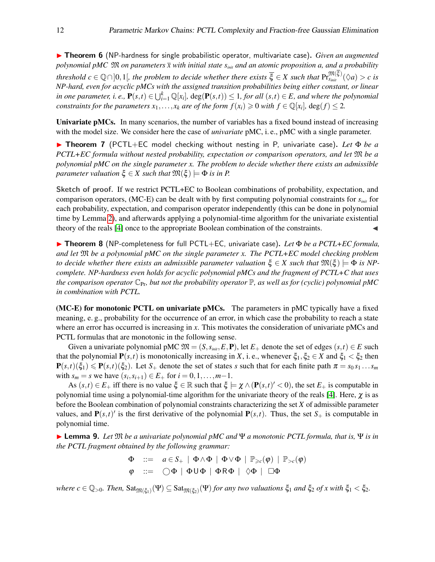**► Theorem 6** (NP-hardness for single probabilistic operator, multivariate case). *Given an augmented polynomial pMC*  $\mathfrak{M}$  *on parameters*  $\bar{x}$  *with initial state*  $s_{\text{init}}$  *and an atomic proposition a, and a probability*  $t$ *hreshold*  $c \in \mathbb{Q} \cap ]0,1[$ , the problem to decide whether there exists  $\overline{\xi} \in X$  such that  $\Pr^{\mathfrak{M}(\xi)}_{s_{init}}(\Diamond a) > c$  is *NP-hard, even for acyclic pMCs with the assigned transition probabilities being either constant, or linear in one parameter, i. e.,*  $P(s,t) \in \bigcup_{i=1}^{k} \mathbb{Q}[x_i]$ ,  $deg(P(s,t)) \leq 1$ , for all  $(s,t) \in E$ , and where the polynomial *constraints for the parameters*  $x_1, \ldots, x_k$  *are of the form*  $f(x_i) \geq 0$  *with*  $f \in \mathbb{Q}[x_i]$ ,  $\deg(f) \leq 2$ .

Univariate pMCs. In many scenarios, the number of variables has a fixed bound instead of increasing with the model size. We consider here the case of *univariate* pMC, i. e., pMC with a single parameter.

<span id="page-11-0"></span>**► Theorem 7** (PCTL+EC model checking without nesting in P, univariate case). Let Φ be a *PCTL+EC formula without nested probability, expectation or comparison operators, and let* M *be a polynomial pMC on the single parameter x. The problem to decide whether there exists an admissible parameter valuation*  $\xi \in X$  *such that*  $\mathfrak{M}(\xi) \models \Phi$  *is in P.* 

Sketch of proof. If we restrict PCTL+EC to Boolean combinations of probability, expectation, and comparison operators, (MC-E) can be dealt with by first computing polynomial constraints for *sinit* for each probability, expectation, and comparison operator independently (this can be done in polynomial time by Lemma [2\)](#page-6-0), and afterwards applying a polynomial-time algorithm for the univariate existential theory of the reals [\[4\]](#page-13-12) once to the appropriate Boolean combination of the constraints. J

<span id="page-11-1"></span>**► Theorem 8** (NP-completeness for full PCTL+EC, univariate case). Let Φ be a PCTL+EC formula, *and let* M *be a polynomial pMC on the single parameter x. The PCTL+EC model checking problem to decide whether there exists an admissible parameter valuation*  $\xi \in X$  *such that*  $\mathfrak{M}(\xi) \models \Phi$  *is NPcomplete. NP-hardness even holds for acyclic polynomial pMCs and the fragment of PCTL+C that uses the comparison operator*  $\mathbb{C}_{\text{Pr}}$ *, but not the probability operator*  $\mathbb{P}$ *, as well as for (cyclic) polynomial pMC in combination with PCTL.*

(MC-E) for monotonic PCTL on univariate pMCs. The parameters in pMC typically have a fixed meaning, e. g., probability for the occurrence of an error, in which case the probability to reach a state where an error has occurred is increasing in x. This motivates the consideration of univariate pMCs and PCTL formulas that are monotonic in the following sense.

Given a univariate polynomial pMC  $\mathfrak{M} = (S, s_{init}, E, \mathbf{P})$ , let  $E_+$  denote the set of edges  $(s, t) \in E$  such that the polynomial  $P(s,t)$  is monotonically increasing in *X*, i.e., whenever  $\xi_1, \xi_2 \in X$  and  $\xi_1 < \xi_2$  then  $P(s,t)(\xi_1) \leq P(s,t)(\xi_2)$ . Let  $S_+$  denote the set of states *s* such that for each finite path  $\pi = s_0 s_1 \dots s_m$ with  $s_m = s$  we have  $(s_i, s_{i+1}) \in E_+$  for  $i = 0, 1, ..., m-1$ .

As  $(s,t) \in E_+$  iff there is no value  $\xi \in \mathbb{R}$  such that  $\xi \models \chi \wedge (\mathbf{P}(s,t)' < 0)$ , the set  $E_+$  is computable in polynomial time using a polynomial-time algorithm for the univariate theory of the reals [\[4\]](#page-13-12). Here,  $\chi$  is as before the Boolean combination of polynomial constraints characterizing the set *X* of admissible parameter values, and  $P(s,t)'$  is the first derivative of the polynomial  $P(s,t)$ . Thus, the set  $S_+$  is computable in polynomial time.

**Example 10.** Let  $\mathfrak{M}$  *be a univariate polynomial pMC and* Ψ *a monotonic PCTL formula, that is,* Ψ *is in the PCTL fragment obtained by the following grammar:*

$$
\begin{array}{lll}\Phi & ::= & a \in S_+ \mid \Phi \wedge \Phi \mid \Phi \vee \Phi \mid \mathbb{P}_{\geq c}(\varphi) \mid \mathbb{P}_{>c}(\varphi) \\
\varphi & ::= & \bigcirc \Phi \mid \Phi \mathsf{U} \Phi \mid \Phi \mathsf{R} \Phi \mid \Diamond \Phi \mid \Box \Phi\n\end{array}
$$

 $where \ c \in \mathbb{Q}_{>0}$ . Then,  $\text{Sat}_{\mathfrak{M}(\xi_1)}(\Psi) \subseteq \text{Sat}_{\mathfrak{M}(\xi_2)}(\Psi)$  *for any two valuations*  $\xi_1$  *and*  $\xi_2$  *of x with*  $\xi_1 < \xi_2$ .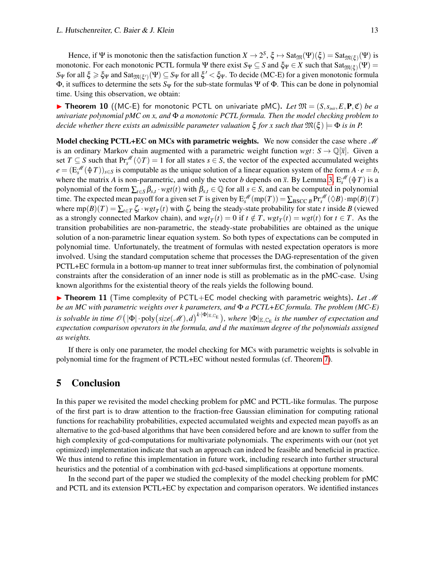Hence, if  $\Psi$  is monotonic then the satisfaction function  $X \to 2^S$ ,  $\xi \mapsto \text{Sat}_{\mathfrak{M}}(\Psi)(\xi) = \text{Sat}_{\mathfrak{M}(\xi)}(\Psi)$  is monotonic. For each monotonic PCTL formula  $\Psi$  there exist  $S_\Psi\subseteq S$  and  $\xi_\Psi\in X$  such that  $\text{Sat}_{\mathfrak{M}(\xi)}(\Psi)=$ *S*Ψ for all  $\xi \ge \xi_\Psi$  and Sat<sub> $\mathfrak{M}(\xi')$ </sub> (Ψ)  $\subseteq$  *S*Ψ for all  $\xi' < \xi_\Psi$ . To decide (MC-E) for a given monotonic formula Φ, it suffices to determine the sets *S*<sup>Ψ</sup> for the sub-state formulas Ψ of Φ. This can be done in polynomial time. Using this observation, we obtain:

<span id="page-12-0"></span>**In** Theorem 10 ((MC-E) for monotonic PCTL on univariate pMC). Let  $\mathfrak{M} = (S, s_{\text{init}}, E, \mathbf{P}, \mathfrak{C})$  be a *univariate polynomial pMC on x, and* Φ *a monotonic PCTL formula. Then the model checking problem to decide whether there exists an admissible parameter valuation*  $\xi$  *for x such that*  $\mathfrak{M}(\xi) \models \Phi$  *is in P.* 

Model checking PCTL+EC on MCs with parametric weights. We now consider the case where  $\mathcal M$ is an ordinary Markov chain augmented with a parametric weight function  $wgt: S \rightarrow \mathbb{Q}[\bar{x}]$ . Given a set  $T \subseteq S$  such that  $Pr_s^{\mathcal{M}}(\Diamond T) = 1$  for all states  $s \in S$ , the vector of the expected accumulated weights  $e = (E_s^M(\text{A }T))_{s \in S}$  is computable as the unique solution of a linear equation system of the form  $A \cdot e = b$ , where the matrix *A* is non-parametric, and only the vector *b* depends on  $\bar{x}$ . By Lemma [3,](#page-6-1)  $E_s^{\mathcal{M}}(\hat{\phi}T)$  is a polynomial of the form  $\sum_{t \in S} \beta_{s,t} \cdot wgt(t)$  with  $\beta_{s,t} \in \mathbb{Q}$  for all  $s \in S$ , and can be computed in polynomial time. The expected mean payoff for a given set *T* is given by  $E_s^{\mathcal{M}}(mp(T)) = \sum_{BSCC} {}_B\Pr_s^{\mathcal{M}}(\Diamond B) \cdot mp(B)(T)$ where  $mp(B)(T) = \sum_{t \in T} \zeta_t \cdot wgt_T(t)$  with  $\zeta_t$  being the steady-state probability for state *t* inside *B* (viewed as a strongly connected Markov chain), and  $wgt_T(t) = 0$  if  $t \notin T$ ,  $wgt_T(t) = wgt(t)$  for  $t \in T$ . As the transition probabilities are non-parametric, the steady-state probabilities are obtained as the unique solution of a non-parametric linear equation system. So both types of expectations can be computed in polynomial time. Unfortunately, the treatment of formulas with nested expectation operators is more involved. Using the standard computation scheme that processes the DAG-representation of the given PCTL+EC formula in a bottom-up manner to treat inner subformulas first, the combination of polynomial constraints after the consideration of an inner node is still as problematic as in the pMC-case. Using known algorithms for the existential theory of the reals yields the following bound.

**► Theorem 11** (Time complexity of PCTL+EC model checking with parametric weights). Let M *be an MC with parametric weights over k parameters, and* Φ *a PCTL+EC formula. The problem (MC-E) is solvable in time*  $\mathscr{O}(|\Phi| \cdot \text{poly}(size(\mathscr{M}),d)^{k \cdot |\Phi|_{\mathbb{E},\mathbb{C}_E}})$ , where  $|\Phi|_{\mathbb{E},\mathbb{C}_E}$  *is the number of expectation and expectation comparison operators in the formula, and d the maximum degree of the polynomials assigned as weights.*

If there is only one parameter, the model checking for MCs with parametric weights is solvable in polynomial time for the fragment of PCTL+EC without nested formulas (cf. Theorem [7\)](#page-11-0).

### 5 Conclusion

In this paper we revisited the model checking problem for pMC and PCTL-like formulas. The purpose of the first part is to draw attention to the fraction-free Gaussian elimination for computing rational functions for reachability probabilities, expected accumulated weights and expected mean payoffs as an alternative to the gcd-based algorithms that have been considered before and are known to suffer from the high complexity of gcd-computations for multivariate polynomials. The experiments with our (not yet optimized) implementation indicate that such an approach can indeed be feasible and beneficial in practice. We thus intend to refine this implementation in future work, including research into further structural heuristics and the potential of a combination with gcd-based simplifications at opportune moments.

In the second part of the paper we studied the complexity of the model checking problem for pMC and PCTL and its extension PCTL+EC by expectation and comparison operators. We identified instances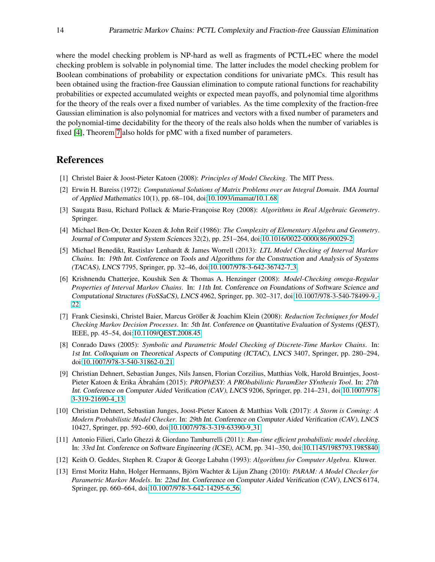where the model checking problem is NP-hard as well as fragments of PCTL+EC where the model checking problem is solvable in polynomial time. The latter includes the model checking problem for Boolean combinations of probability or expectation conditions for univariate pMCs. This result has been obtained using the fraction-free Gaussian elimination to compute rational functions for reachability probabilities or expected accumulated weights or expected mean payoffs, and polynomial time algorithms for the theory of the reals over a fixed number of variables. As the time complexity of the fraction-free Gaussian elimination is also polynomial for matrices and vectors with a fixed number of parameters and the polynomial-time decidability for the theory of the reals also holds when the number of variables is fixed [\[4\]](#page-13-12), Theorem [7](#page-11-0) also holds for pMC with a fixed number of parameters.

# References

- <span id="page-13-9"></span>[1] Christel Baier & Joost-Pieter Katoen (2008): *Principles of Model Checking*. The MIT Press.
- <span id="page-13-4"></span>[2] Erwin H. Bareiss (1972): *Computational Solutions of Matrix Problems over an Integral Domain*. IMA Journal of Applied Mathematics 10(1), pp. 68–104, doi[:10.1093/imamat/10.1.68.](http://dx.doi.org/10.1093/imamat/10.1.68)
- <span id="page-13-11"></span>[3] Saugata Basu, Richard Pollack & Marie-Françoise Roy (2008): *Algorithms in Real Algebraic Geometry*. Springer.
- <span id="page-13-12"></span>[4] Michael Ben-Or, Dexter Kozen & John Reif (1986): *The Complexity of Elementary Algebra and Geometry*. Journal of Computer and System Sciences 32(2), pp. 251–264, doi[:10.1016/0022-0000\(86\)90029-2.](http://dx.doi.org/10.1016/0022-0000(86)90029-2)
- <span id="page-13-8"></span>[5] Michael Benedikt, Rastislav Lenhardt & James Worrell (2013): *LTL Model Checking of Interval Markov Chains*. In: 19th Int. Conference on Tools and Algorithms for the Construction and Analysis of Systems (TACAS), LNCS 7795, Springer, pp. 32–46, doi[:10.1007/978-3-642-36742-7](http://dx.doi.org/10.1007/978-3-642-36742-7_3) 3.
- <span id="page-13-5"></span>[6] Krishnendu Chatterjee, Koushik Sen & Thomas A. Henzinger (2008): *Model-Checking omega-Regular Properties of Interval Markov Chains*. In: 11th Int. Conference on Foundations of Software Science and Computational Structures (FoSSaCS), LNCS 4962, Springer, pp. 302–317, doi[:10.1007/978-3-540-78499-9](http://dx.doi.org/10.1007/978-3-540-78499-9_22) - [22.](http://dx.doi.org/10.1007/978-3-540-78499-9_22)
- <span id="page-13-10"></span>[7] Frank Ciesinski, Christel Baier, Marcus Größer & Joachim Klein (2008): *Reduction Techniques for Model Checking Markov Decision Processes*. In: 5th Int. Conference on Quantitative Evaluation of Systems (QEST), IEEE, pp. 45–54, doi[:10.1109/QEST.2008.45.](http://dx.doi.org/10.1109/QEST.2008.45)
- <span id="page-13-0"></span>[8] Conrado Daws (2005): *Symbolic and Parametric Model Checking of Discrete-Time Markov Chains*. In: 1st Int. Colloquium on Theoretical Aspects of Computing (ICTAC), LNCS 3407, Springer, pp. 280–294, doi[:10.1007/978-3-540-31862-0](http://dx.doi.org/10.1007/978-3-540-31862-0_21) 21.
- <span id="page-13-6"></span>[9] Christian Dehnert, Sebastian Junges, Nils Jansen, Florian Corzilius, Matthias Volk, Harold Bruintjes, Joost-Pieter Katoen & Erika Ábrahám (2015): *PROPhESY: A PRObabilistic ParamEter SYnthesis Tool.* In: 27th Int. Conference on Computer Aided Verification (CAV), LNCS 9206, Springer, pp. 214–231, doi[:10.1007/978-](http://dx.doi.org/10.1007/978-3-319-21690-4_13) [3-319-21690-4](http://dx.doi.org/10.1007/978-3-319-21690-4_13) 13.
- <span id="page-13-3"></span>[10] Christian Dehnert, Sebastian Junges, Joost-Pieter Katoen & Matthias Volk (2017): *A Storm is Coming: A Modern Probabilistic Model Checker*. In: 29th Int. Conference on Computer Aided Verification (CAV), LNCS 10427, Springer, pp. 592–600, doi[:10.1007/978-3-319-63390-9](http://dx.doi.org/10.1007/978-3-319-63390-9_31) 31.
- <span id="page-13-7"></span>[11] Antonio Filieri, Carlo Ghezzi & Giordano Tamburrelli (2011): *Run-time efficient probabilistic model checking*. In: 33rd Int. Conference on Software Engineering (ICSE), ACM, pp. 341–350, doi[:10.1145/1985793.1985840.](http://dx.doi.org/10.1145/1985793.1985840)
- <span id="page-13-2"></span>[12] Keith O. Geddes, Stephen R. Czapor & George Labahn (1993): *Algorithms for Computer Algebra*. Kluwer.
- <span id="page-13-1"></span>[13] Ernst Moritz Hahn, Holger Hermanns, Björn Wachter & Lijun Zhang (2010): *PARAM: A Model Checker for Parametric Markov Models*. In: 22nd Int. Conference on Computer Aided Verification (CAV), LNCS 6174, Springer, pp. 660–664, doi[:10.1007/978-3-642-14295-6](http://dx.doi.org/10.1007/978-3-642-14295-6_56) 56.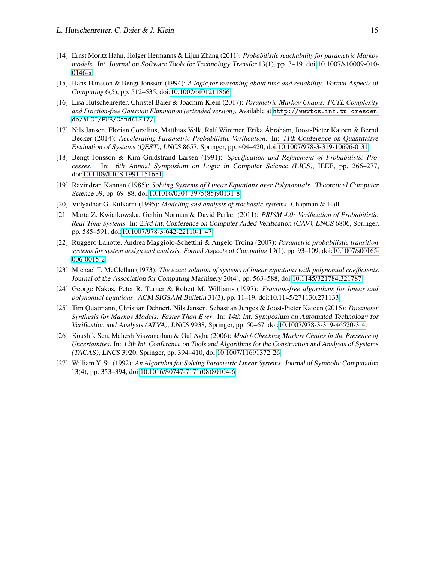- <span id="page-14-2"></span>[14] Ernst Moritz Hahn, Holger Hermanns & Lijun Zhang (2011): *Probabilistic reachability for parametric Markov models*. Int. Journal on Software Tools for Technology Transfer 13(1), pp. 3–19, doi[:10.1007/s10009-010-](http://dx.doi.org/10.1007/s10009-010-0146-x) [0146-x.](http://dx.doi.org/10.1007/s10009-010-0146-x)
- <span id="page-14-5"></span>[15] Hans Hansson & Bengt Jonsson (1994): *A logic for reasoning about time and reliability*. Formal Aspects of Computing 6(5), pp. 512–535, doi[:10.1007/bf01211866.](http://dx.doi.org/10.1007/bf01211866)
- <span id="page-14-7"></span>[16] Lisa Hutschenreiter, Christel Baier & Joachim Klein (2017): *Parametric Markov Chains: PCTL Complexity and Fraction-free Gaussian Elimination (extended version)*. Available at [http://wwwtcs.inf.tu-dresden.](http://wwwtcs.inf.tu-dresden.de/ALGI/PUB/GandALF17/) [de/ALGI/PUB/GandALF17/](http://wwwtcs.inf.tu-dresden.de/ALGI/PUB/GandALF17/).
- <span id="page-14-4"></span>[17] Nils Jansen, Florian Corzilius, Matthias Volk, Ralf Wimmer, Erika Abrahám, Joost-Pieter Katoen & Bernd Becker (2014): *Accelerating Parametric Probabilistic Verification*. In: 11th Conference on Quantitative Evaluation of Systems (QEST), LNCS 8657, Springer, pp. 404–420, doi[:10.1007/978-3-319-10696-0](http://dx.doi.org/10.1007/978-3-319-10696-0_31) 31.
- <span id="page-14-0"></span>[18] Bengt Jonsson & Kim Guldstrand Larsen (1991): *Specification and Refinement of Probabilistic Processes*. In: 6th Annual Symposium on Logic in Computer Science (LICS), IEEE, pp. 266–277, doi[:10.1109/LICS.1991.151651.](http://dx.doi.org/10.1109/LICS.1991.151651)
- <span id="page-14-9"></span>[19] Ravindran Kannan (1985): *Solving Systems of Linear Equations over Polynomials*. Theoretical Computer Science 39, pp. 69–88, doi[:10.1016/0304-3975\(85\)90131-8.](http://dx.doi.org/10.1016/0304-3975(85)90131-8)
- <span id="page-14-13"></span>[20] Vidyadhar G. Kulkarni (1995): *Modeling and analysis of stochastic systems*. Chapman & Hall.
- <span id="page-14-3"></span>[21] Marta Z. Kwiatkowska, Gethin Norman & David Parker (2011): *PRISM 4.0: Verification of Probabilistic Real-Time Systems*. In: 23rd Int. Conference on Computer Aided Verification (CAV), LNCS 6806, Springer, pp. 585–591, doi[:10.1007/978-3-642-22110-1](http://dx.doi.org/10.1007/978-3-642-22110-1_47) 47.
- <span id="page-14-1"></span>[22] Ruggero Lanotte, Andrea Maggiolo-Schettini & Angelo Troina (2007): *Parametric probabilistic transition systems for system design and analysis*. Formal Aspects of Computing 19(1), pp. 93–109, doi[:10.1007/s00165-](http://dx.doi.org/10.1007/s00165-006-0015-2) [006-0015-2.](http://dx.doi.org/10.1007/s00165-006-0015-2)
- <span id="page-14-8"></span>[23] Michael T. McClellan (1973): *The exact solution of systems of linear equations with polynomial coefficients*. Journal of the Association for Computing Machinery 20(4), pp. 563–588, doi[:10.1145/321784.321787.](http://dx.doi.org/10.1145/321784.321787)
- <span id="page-14-11"></span>[24] George Nakos, Peter R. Turner & Robert M. Williams (1997): *Fraction-free algorithms for linear and polynomial equations*. ACM SIGSAM Bulletin 31(3), pp. 11–19, doi[:10.1145/271130.271133.](http://dx.doi.org/10.1145/271130.271133)
- <span id="page-14-12"></span>[25] Tim Quatmann, Christian Dehnert, Nils Jansen, Sebastian Junges & Joost-Pieter Katoen (2016): *Parameter Synthesis for Markov Models: Faster Than Ever*. In: 14th Int. Symposium on Automated Technology for Verification and Analysis (ATVA), LNCS 9938, Springer, pp. 50–67, doi[:10.1007/978-3-319-46520-3](http://dx.doi.org/10.1007/978-3-319-46520-3_4) 4.
- <span id="page-14-6"></span>[26] Koushik Sen, Mahesh Viswanathan & Gul Agha (2006): *Model-Checking Markov Chains in the Presence of Uncertainties*. In: 12th Int. Conference on Tools and Algorithms for the Construction and Analysis of Systems (TACAS), LNCS 3920, Springer, pp. 394–410, doi[:10.1007/11691372](http://dx.doi.org/10.1007/11691372_26) 26.
- <span id="page-14-10"></span>[27] William Y. Sit (1992): *An Algorithm for Solving Parametric Linear Systems*. Journal of Symbolic Computation 13(4), pp. 353–394, doi[:10.1016/S0747-7171\(08\)80104-6.](http://dx.doi.org/10.1016/S0747-7171(08)80104-6)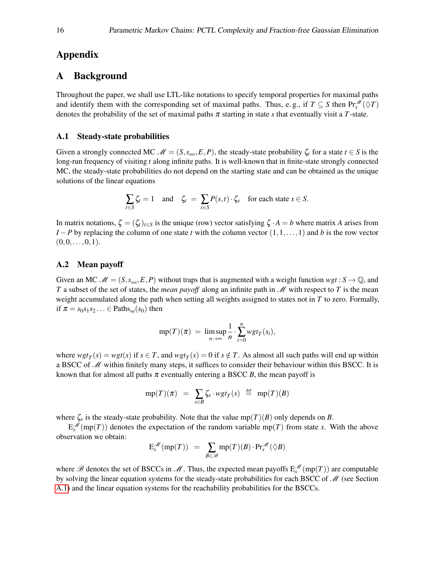# <span id="page-15-0"></span>Appendix

### A Background

Throughout the paper, we shall use LTL-like notations to specify temporal properties for maximal paths and identify them with the corresponding set of maximal paths. Thus, e.g., if  $T \subseteq S$  then  $Pr_s^{\mathscr{M}}(\Diamond T)$ denotes the probability of the set of maximal paths  $\pi$  starting in state *s* that eventually visit a *T*-state.

#### <span id="page-15-1"></span>A.1 Steady-state probabilities

Given a strongly connected MC  $\mathcal{M} = (S, s_{\text{init}}, E, P)$ , the steady-state probability  $\zeta_t$  for a state  $t \in S$  is the long-run frequency of visiting *t* along infinite paths. It is well-known that in finite-state strongly connected MC, the steady-state probabilities do not depend on the starting state and can be obtained as the unique solutions of the linear equations

$$
\sum_{t \in S} \zeta_t = 1 \quad \text{and} \quad \zeta_t = \sum_{s \in S} P(s, t) \cdot \zeta_s \quad \text{for each state } s \in S.
$$

In matrix notations,  $\zeta = (\zeta_t)_{t \in S}$  is the unique (row) vector satisfying  $\zeta \cdot A = b$  where matrix *A* arises from *I* − *P* by replacing the column of one state *t* with the column vector  $(1,1,\ldots,1)$  and *b* is the row vector  $(0,0,\ldots,0,1).$ 

#### A.2 Mean payoff

Given an MC  $\mathcal{M} = (S, s_{init}, E, P)$  without traps that is augmented with a weight function  $wgt : S \to \mathbb{Q}$ , and *T* a subset of the set of states, the *mean payoff* along an infinite path in *M* with respect to *T* is the mean weight accumulated along the path when setting all weights assigned to states not in *T* to zero. Formally, if  $\pi = s_0 s_1 s_2 \ldots \in$  Paths<sub>inf</sub>(s<sub>0</sub>) then

$$
mp(T)(\pi) = \limsup_{n \to \infty} \frac{1}{n} \cdot \sum_{i=0}^{n} wgt_T(s_i),
$$

where  $wgt_T(s) = wgt(s)$  if  $s \in T$ , and  $wgt_T(s) = 0$  if  $s \notin T$ . As almost all such paths will end up within a BSCC of  $\mathcal M$  within finitely many steps, it suffices to consider their behaviour within this BSCC. It is known that for almost all paths  $\pi$  eventually entering a BSCC *B*, the mean payoff is

$$
mp(T)(\pi) = \sum_{s \in B} \zeta_s \cdot wgt_T(s) \stackrel{\text{def}}{=} mp(T)(B)
$$

where  $\zeta_s$  is the steady-state probability. Note that the value mp(*T*)(*B*) only depends on *B*.

 $E_s^{\mathcal{M}}(\text{mp}(T))$  denotes the expectation of the random variable mp(*T*) from state *s*. With the above observation we obtain:

$$
\mathcal{E}_s^{\mathscr{M}}(\text{mp}(T)) = \sum_{B \in \mathscr{B}} \text{mp}(T)(B) \cdot \text{Pr}_s^{\mathscr{M}}(\Diamond B)
$$

where  $\mathscr B$  denotes the set of BSCCs in  $\mathscr M$ . Thus, the expected mean payoffs  $E_s^{\mathscr M}(mp(T))$  are computable by solving the linear equation systems for the steady-state probabilities for each BSCC of  $\mathcal{M}$  (see Section [A.1\)](#page-15-1) and the linear equation systems for the reachability probabilities for the BSCCs.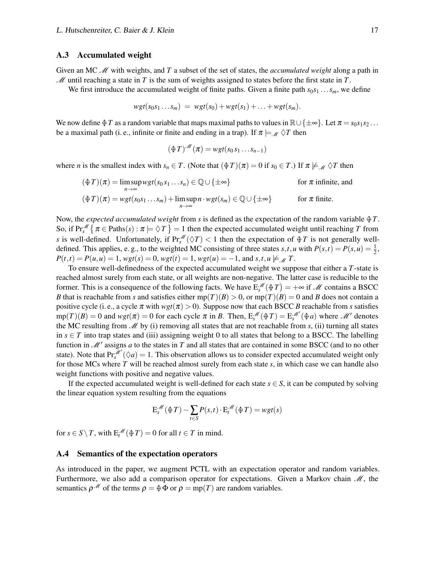#### A.3 Accumulated weight

Given an MC M with weights, and T a subset of the set of states, the *accumulated weight* along a path in M until reaching a state in *T* is the sum of weights assigned to states before the first state in *T*.

We first introduce the accumulated weight of finite paths. Given a finite path  $s_0 s_1 \ldots s_m$ , we define

$$
wgt(s_0s_1...s_m) = wgt(s_0) + wgt(s_1) + ... + wgt(s_m).
$$

We now define  $\oint T$  as a random variable that maps maximal paths to values in  $\mathbb{R} \cup {\pm \infty}$ . Let  $\pi = s_0 s_1 s_2 \dots$ be a maximal path (i. e., infinite or finite and ending in a trap). If  $\pi \models_{\mathcal{M}} \Diamond T$  then

$$
(\bigoplus T)^{\mathscr{M}}(\pi)=wgt(s_0s_1\ldots s_{n-1})
$$

where *n* is the smallest index with  $s_n \in T$ . (Note that  $(\bigoplus T)(\pi) = 0$  if  $s_0 \in T$ .) If  $\pi \not\models \mathcal{M} \Diamond T$  then

$$
(\oint T)(\pi) = \limsup_{n \to \infty} wgt(s_0 s_1 \dots s_n) \in \mathbb{Q} \cup \{\pm \infty\}
$$
 for  $\pi$  infinite, and  

$$
(\oint T)(\pi) = wgt(s_0 s_1 \dots s_m) + \limsup_{n \to \infty} n \cdot wgt(s_m) \in \mathbb{Q} \cup \{\pm \infty\}
$$
 for  $\pi$  finite.

Now, the *expected accumulated weight* from *s* is defined as the expectation of the random variable  $\oint T$ . So, if  $Pr_s^{\mathscr{M}}\left\{\pi \in \text{Paths}(s) : \pi \models \Diamond T\right\} = 1$  then the expected accumulated weight until reaching *T* from *s* is well-defined. Unfortunately, if  $Pr_s^{\mathcal{M}}(\Diamond T) < 1$  then the expectation of  $\Diamond T$  is not generally welldefined. This applies, e.g., to the weighted MC consisting of three states  $s, t, u$  with  $P(s,t) = P(s, u) = \frac{1}{2}$ ,  $P(t,t) = P(u, u) = 1$ ,  $wgt(s) = 0$ ,  $wgt(t) = 1$ ,  $wgt(u) = -1$ , and  $s, t, u \not\models M$  *T*.

To ensure well-definedness of the expected accumulated weight we suppose that either a *T*-state is reached almost surely from each state, or all weights are non-negative. The latter case is reducible to the former. This is a consequence of the following facts. We have  $E_s^{\mathcal{M}}(\oplus T) = +\infty$  if  $\mathcal{M}$  contains a BSCC *B* that is reachable from *s* and satisfies either  $mp(T)(B) > 0$ , or  $mp(T)(B) = 0$  and *B* does not contain a positive cycle (i. e., a cycle  $\pi$  with  $wgt(\pi) > 0$ ). Suppose now that each BSCC *B* reachable from *s* satisfies  $\text{mp}(T)(B) = 0$  and  $wgt(\pi) = 0$  for each cycle  $\pi$  in *B*. Then,  $E_s^{\mathcal{M}}(\oplus T) = E_s^{\mathcal{M}'}(\oplus a)$  where  $\mathcal{M}'$  denotes the MC resulting from  $M$  by (i) removing all states that are not reachable from  $s$ , (ii) turning all states in  $s \in T$  into trap states and (iii) assigning weight 0 to all states that belong to a BSCC. The labelling function in  $\mathcal{M}'$  assigns *a* to the states in *T* and all states that are contained in some BSCC (and to no other state). Note that  $Pr_s^{\mathscr{M}'}(\Diamond a) = 1$ . This observation allows us to consider expected accumulated weight only for those MCs where *T* will be reached almost surely from each state *s*, in which case we can handle also weight functions with positive and negative values.

If the expected accumulated weight is well-defined for each state  $s \in S$ , it can be computed by solving the linear equation system resulting from the equations

$$
E_s^{\mathcal{M}}(\mathcal{\mathcal{F}}T) - \sum_{t \in S} P(s,t) \cdot E_t^{\mathcal{M}}(\mathcal{\mathcal{F}}T) = wgt(s)
$$

for  $s \in S \setminus T$ , with  $E_t^{\mathscr{M}}(\bigoplus T) = 0$  for all  $t \in T$  in mind.

#### <span id="page-16-0"></span>A.4 Semantics of the expectation operators

As introduced in the paper, we augment PCTL with an expectation operator and random variables. Furthermore, we also add a comparison operator for expectations. Given a Markov chain  $\mathcal{M}$ , the semantics  $\rho^{\mathcal{M}}$  of the terms  $\rho = \phi \Phi$  or  $\rho = \text{mp}(T)$  are random variables.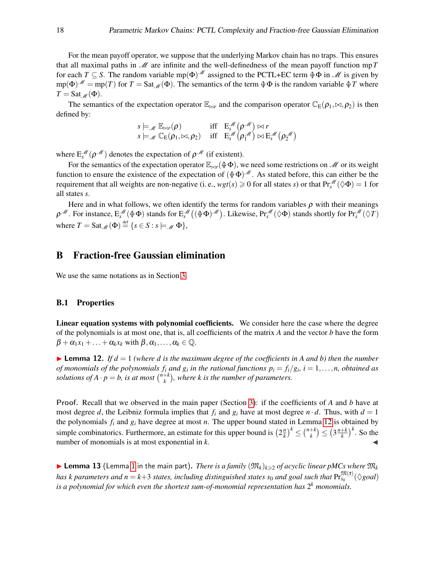For the mean payoff operator, we suppose that the underlying Markov chain has no traps. This ensures that all maximal paths in  $\mathcal M$  are infinite and the well-definedness of the mean payoff function mp T for each *T*  $\subseteq$  *S*. The random variable mp( $\Phi$ )<sup> $M$ </sup> assigned to the PCTL+EC term  $\Phi \Phi$  in  $M$  is given by  $mp(\Phi)^{\mathcal{M}} = mp(T)$  for  $T = \text{Sat}_{\mathcal{M}}(\Phi)$ . The semantics of the term  $\Phi \Phi$  is the random variable  $\Phi T$  where  $T =$ Sat<sub>M</sub>( $\Phi$ ).

The semantics of the expectation operator  $\mathbb{E}_{\bowtie r}$  and the comparison operator  $\mathbb{C}_{E}(\rho_1, \bowtie, \rho_2)$  is then defined by:

$$
s \models_{\mathscr{M}} \mathbb{E}_{\bowtie r}(\rho) \quad \text{iff} \quad \mathbb{E}_{s}^{\mathscr{M}}(\rho^{\mathscr{M}}) \bowtie r
$$
  
\n
$$
s \models_{\mathscr{M}} \mathbb{C}_{E}(\rho_{1}, \bowtie, \rho_{2}) \quad \text{iff} \quad \mathbb{E}_{s}^{\mathscr{M}}(\rho_{1}^{\mathscr{M}}) \bowtie \mathbb{E}_{s}^{\mathscr{M}}(\rho_{2}^{\mathscr{M}})
$$

where  $E_s^{\mathcal{M}}(\rho^{\mathcal{M}})$  denotes the expectation of  $\rho^{\mathcal{M}}$  (if existent).

For the semantics of the expectation operator  $\mathbb{E}_{\bowtie r}(\varphi \Phi)$ , we need some restrictions on M or its weight function to ensure the existence of the expectation of  $(\oplus \Phi)^{\mathcal{M}}$ . As stated before, this can either be the requirement that all weights are non-negative (i. e.,  $wgt(s) \ge 0$  for all states *s*) or that  $Pr_s^{\mathscr{M}}(\Diamond \Phi) = 1$  for all states *s*.

Here and in what follows, we often identify the terms for random variables  $\rho$  with their meanings  $\rho^{\mathcal{M}}$ . For instance,  $E_s^{\mathcal{M}}(\Phi \Phi)$  stands for  $E_s^{\mathcal{M}}((\Phi \Phi)^{\mathcal{M}})$ . Likewise,  $Pr_s^{\mathcal{M}}(\Diamond \Phi)$  stands shortly for  $Pr_s^{\mathcal{M}}(\Diamond T)$ where  $T = \text{Sat}_{\mathscr{M}}(\Phi) \stackrel{\text{def}}{=} \{s \in S : s \models_{\mathscr{M}} \Phi\},\$ 

## B Fraction-free Gaussian elimination

We use the same notations as in Section [3.](#page-4-0)

#### B.1 Properties

Linear equation systems with polynomial coefficients. We consider here the case where the degree of the polynomials is at most one, that is, all coefficients of the matrix *A* and the vector *b* have the form  $\beta + \alpha_1 x_1 + \ldots + \alpha_k x_k$  with  $\beta, \alpha_1, \ldots, \alpha_k \in \mathbb{Q}$ .

<span id="page-17-0"></span>**Ighthare** Lemma 12. If  $d = 1$  (where  $d$  is the maximum degree of the coefficients in A and  $b$ ) then the number *of monomials of the polynomials*  $f_i$  *and*  $g_i$  *in the rational functions*  $p_i = f_i/g_i$ *,*  $i = 1, \ldots, n$ *, obtained as solutions of*  $A \cdot p = b$ , *is at most*  $\binom{n+k}{k}$  $\binom{+k}{k}$ , where k is the number of parameters.

Proof. Recall that we observed in the main paper (Section [3\)](#page-4-0): if the coefficients of *A* and *b* have at most degree *d*, the Leibniz formula implies that  $f_i$  and  $g_i$  have at most degree  $n \cdot d$ . Thus, with  $d = 1$ the polynomials  $f_i$  and  $g_i$  have degree at most *n*. The upper bound stated in Lemma [12](#page-17-0) is obtained by simple combinatorics. Furthermore, an estimate for this upper bound is  $(2\frac{n}{k})$  $\left(\frac{n}{k}\right)^k \leq \binom{n+k}{k}$  $\binom{+k}{k} \leq \left(3\frac{n+k}{k}\right)$  $(\frac{1}{k})^k$ . So the number of monomials is at most exponential in *k*.

**I Lemma [1](#page-5-1)3** (Lemma 1 in the main part). *There is a family*  $(\mathfrak{M}_k)_{k\geqslant2}$  *of acyclic linear pMCs where*  $\mathfrak{M}_k$  $h$ as  $k$   $parameters$  and  $n = k+3$  states, including distinguished states  $s_0$  and goal such that  ${\rm Pr}_{s_0}^{\mathfrak M(\overline{x})}(\Diamond goal)$ *is a polynomial for which even the shortest sum-of-monomial representation has* 2 *<sup>k</sup> monomials.*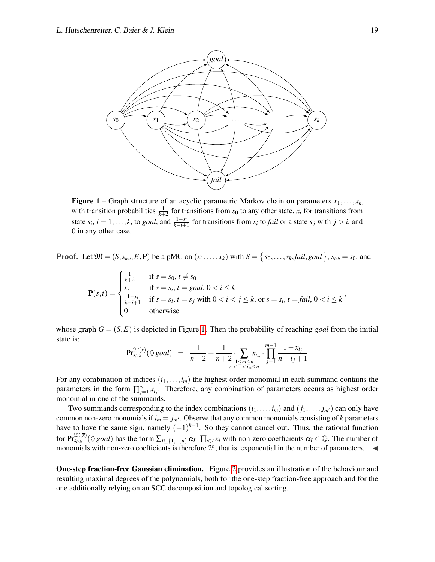<span id="page-18-0"></span>

**Figure 1** – Graph structure of an acyclic parametric Markov chain on parameters  $x_1, \ldots, x_k$ , with transition probabilities  $\frac{1}{k+2}$  for transitions from *s*<sub>0</sub> to any other state, *x<sub>i</sub>* for transitions from state  $s_i$ ,  $i = 1, ..., k$ , to *goal*, and  $\frac{1 - x_i}{k - i + 1}$  for transitions from  $s_i$  to *fail* or a state  $s_j$  with  $j > i$ , and 0 in any other case.

**Proof.** Let  $\mathfrak{M} = (S, s_{\text{init}}, E, \mathbf{P})$  be a pMC on  $(x_1, \ldots, x_k)$  with  $S = \{s_0, \ldots, s_k, \text{fail}, \text{goal}\}, s_{\text{init}} = s_0$ , and

$$
\mathbf{P}(s,t) = \begin{cases} \frac{1}{k+2} & \text{if } s = s_0, t \neq s_0\\ x_i & \text{if } s = s_i, t = goal, 0 < i \leq k\\ \frac{1-x_i}{k-i+1} & \text{if } s = s_i, t = s_j \text{ with } 0 < i < j \leq k, \text{ or } s = s_i, t = fail, 0 < i \leq k\\ 0 & \text{otherwise} \end{cases}
$$

whose graph  $G = (S, E)$  is depicted in Figure [1.](#page-18-0) Then the probability of reaching *goal* from the initial state is:

$$
\mathrm{Pr}^{\mathfrak{M}(\overline{x})}_{\mathfrak{smit}}(\Diamond \text{goal}) = \frac{1}{n+2} + \frac{1}{n+2} \cdot \sum_{\substack{1 \le m \le n \\ i_1 < \ldots < i_m \le n}} x_{i_m} \cdot \prod_{j=1}^{m-1} \frac{1 - x_{i_j}}{n - i_j + 1}
$$

For any combination of indices  $(i_1, \ldots, i_m)$  the highest order monomial in each summand contains the parameters in the form  $\prod_{j=1}^{m} x_{i_j}$ . Therefore, any combination of parameters occurs as highest order monomial in one of the summands.

Two summands corresponding to the index combinations  $(i_1, \ldots, i_m)$  and  $(j_1, \ldots, j_{m'})$  can only have common non-zero monomials if  $i_m = j_{m'}$ . Observe that any common monomials consisting of *k* parameters have to have the same sign, namely  $(-1)^{k-1}$ . So they cannot cancel out. Thus, the rational function  $\int_{S_{init}}^{\mathfrak{M}(\overline{x})} (\Diamond \text{goal})$  has the form  $\sum_{I \subseteq \{1,...,n\}} \alpha_I \cdot \prod_{i \in I} x_i$  with non-zero coefficients  $\alpha_I \in \mathbb{Q}$ . The number of monomials with non-zero coefficients is therefore  $2^n$ , that is, exponential in the number of parameters.  $\blacktriangleleft$ 

One-step fraction-free Gaussian elimination. Figure [2](#page-19-0) provides an illustration of the behaviour and resulting maximal degrees of the polynomials, both for the one-step fraction-free approach and for the one additionally relying on an SCC decomposition and topological sorting.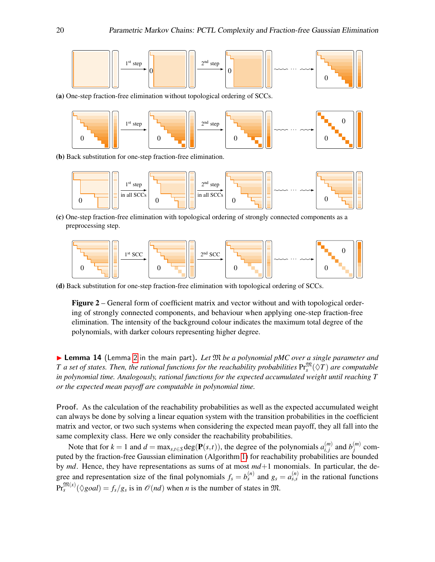<span id="page-19-0"></span>

(a) One-step fraction-free elimination without topological ordering of SCCs.



(b) Back substitution for one-step fraction-free elimination.



(c) One-step fraction-free elimination with topological ordering of strongly connected components as a preprocessing step.



(d) Back substitution for one-step fraction-free elimination with topological ordering of SCCs.

Figure 2 – General form of coefficient matrix and vector without and with topological ordering of strongly connected components, and behaviour when applying one-step fraction-free elimination. The intensity of the background colour indicates the maximum total degree of the polynomials, with darker colours representing higher degree.

▶ Lemma 14 (Lemma [2](#page-6-0) in the main part). Let  $M$  *be a polynomial pMC over a single parameter and*  $T$  *a set of states. Then, the rational functions for the reachability probabilities*  $\mathrm{Pr}^{\mathfrak{M}}_{s}(\Diamond T)$  *are computable in polynomial time. Analogously, rational functions for the expected accumulated weight until reaching T or the expected mean payoff are computable in polynomial time.*

Proof. As the calculation of the reachability probabilities as well as the expected accumulated weight can always be done by solving a linear equation system with the transition probabilities in the coefficient matrix and vector, or two such systems when considering the expected mean payoff, they all fall into the same complexity class. Here we only consider the reachability probabilities.

Note that for  $k = 1$  and  $d = \max_{s,t \in S} \deg(\mathbf{P}(s,t))$ , the degree of the polynomials  $a_{i,j}^{(m)}$  $\binom{m}{i,j}$  and  $b_j^{(m)}$  $j^{(m)}$  computed by the fraction-free Gaussian elimination (Algorithm [1\)](#page-5-0) for reachability probabilities are bounded by *md*. Hence, they have representations as sums of at most *md*+1 monomials. In particular, the degree and representation size of the final polynomials  $f_s = b_s^{(n)}$  and  $g_s = a_{s,s}^{(n)}$  in the rational functions  $\Pr_s^{\mathfrak{M}(x)}(\Diamond goal) = f_s/g_s$  is in  $\mathcal{O}(nd)$  when *n* is the number of states in  $\mathfrak{M}$ .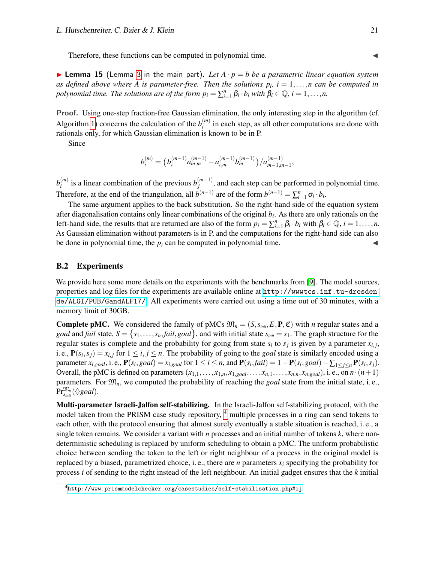Therefore, these functions can be computed in polynomial time.

**Example 15** (Lemma [3](#page-6-1) in the main part). Let  $A \cdot p = b$  be a parametric linear equation system *as defined above where* A *is parameter-free. Then the solutions*  $p_i$ ,  $i = 1, \ldots, n$  *can be computed in polynomial time. The solutions are of the form*  $p_i = \sum_{i=1}^n \beta_i \cdot b_i$  *with*  $\beta_i \in \mathbb{Q}$ ,  $i = 1, \ldots, n$ .

Proof. Using one-step fraction-free Gaussian elimination, the only interesting step in the algorithm (cf. Algorithm [1\)](#page-5-0) concerns the calculation of the  $b_i^{(m)}$  $i^{(m)}$  in each step, as all other computations are done with rationals only, for which Gaussian elimination is known to be in P.

Since

$$
b_i^{(m)} = (b_i^{(m-1)} a_{m,m}^{(m-1)} - a_{i,m}^{(m-1)} b_m^{(m-1)}) / a_{m-1,m-1}^{(m-1)},
$$

 $b_i^{(m)}$  $i^{(m)}$  is a linear combination of the previous  $b_j^{(m-1)}$  $j_{j}^{(m-1)}$ , and each step can be performed in polynomial time. Therefore, at the end of the triangulation, all  $b^{(n-1)}$  are of the form  $b^{(n-1)} = \sum_{i=1}^{n} \sigma_i \cdot b_i$ .

The same argument applies to the back substitution. So the right-hand side of the equation system after diagonalisation contains only linear combinations of the original *b<sup>i</sup>* . As there are only rationals on the left-hand side, the results that are returned are also of the form  $p_i = \sum_{i=1}^n \beta_i \cdot b_i$  with  $\beta_i \in \mathbb{Q}, i = 1, ..., n$ . As Gaussian elimination without parameters is in P, and the computations for the right-hand side can also be done in polynomial time, the  $p_i$  can be computed in polynomial time.

#### <span id="page-20-0"></span>B.2 Experiments

We provide here some more details on the experiments with the benchmarks from [\[9\]](#page-13-6). The model sources, properties and log files for the experiments are available online at [http://wwwtcs.inf.tu-dresden.](http://wwwtcs.inf.tu-dresden.de/ALGI/PUB/GandALF17/) [de/ALGI/PUB/GandALF17/](http://wwwtcs.inf.tu-dresden.de/ALGI/PUB/GandALF17/). All experiments were carried out using a time out of 30 minutes, with a memory limit of 30GB.

**Complete pMC.** We considered the family of pMCs  $\mathfrak{M}_n = (S, s_{init}, E, \mathbf{P}, \mathfrak{C})$  with *n* regular states and a *goal* and *fail* state,  $S = \{s_1, \ldots, s_n, \text{fail}, \text{goal}\}$ , and with initial state  $s_{\text{init}} = s_1$ . The graph structure for the regular states is complete and the probability for going from state  $s_i$  to  $s_j$  is given by a parameter  $x_{i,j}$ , i. e.,  $P(s_i, s_j) = x_{i,j}$  for  $1 \le i, j \le n$ . The probability of going to the *goal* state is similarly encoded using a parameter  $x_{i, goal}$ , i.e.,  $P(s_i, goal) = x_{i, goal}$  for  $1 \le i \le n$ , and  $P(s_i, fail) = 1 - P(s_i, goal) - \sum_{1 \le j \le n} P(s_i, s_j)$ . Overall, the pMC is defined on parameters  $(x_{1,1},...,x_{1,n},x_{1,goal},...,x_{n,1},...,x_{n,n},x_{n,goal})$ , i.e., on  $n \cdot (n+1)$ parameters. For M*n*, we computed the probability of reaching the *goal* state from the initial state, i. e.,  $\Pr^{\mathfrak{M}_n}_{s_{\mathit{init}}}(\Diamond goal).$ 

Multi-parameter Israeli-Jalfon self-stabilizing. In the Israeli-Jalfon self-stabilizing protocol, with the model taken from the PRISM case study repository, <sup>[4](#page-20-1)</sup> multiple processes in a ring can send tokens to each other, with the protocol ensuring that almost surely eventually a stable situation is reached, i. e., a single token remains. We consider a variant with *n* processes and an initial number of tokens *k*, where nondeterministic scheduling is replaced by uniform scheduling to obtain a pMC. The uniform probabilistic choice between sending the token to the left or right neighbour of a process in the original model is replaced by a biased, parametrized choice, i.e., there are *n* parameters  $x_i$  specifying the probability for process *i* of sending to the right instead of the left neighbour. An initial gadget ensures that the *k* initial

<span id="page-20-1"></span><sup>4</sup><http://www.prismmodelchecker.org/casestudies/self-stabilisation.php#ij>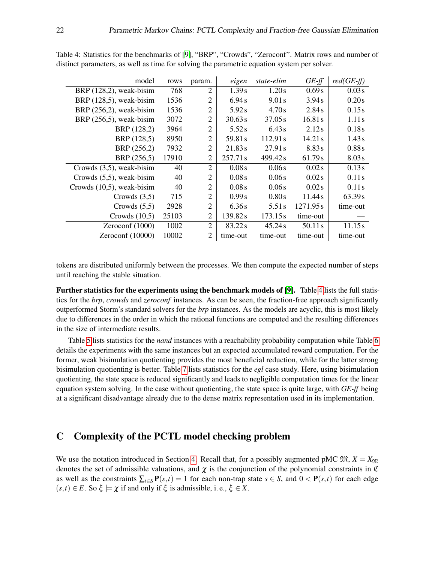| model                        | rows  | param.         | eigen    | state-elim | $GE-ff$   | $red(GE-ff)$ |
|------------------------------|-------|----------------|----------|------------|-----------|--------------|
| BRP $(128,2)$ , weak-bisim   | 768   | 2              | 1.39 s   | 1.20s      | 0.69s     | 0.03 s       |
| BRP (128,5), weak-bisim      | 1536  | 2              | 6.94 s   | 9.01 s     | 3.94 s    | 0.20s        |
| BRP $(256,2)$ , weak-bisim   | 1536  | 2              | 5.92s    | 4.70s      | 2.84s     | 0.15s        |
| BRP $(256,5)$ , weak-bisim   | 3072  | $\overline{2}$ | 30.63 s  | 37.05 s    | 16.81 s   | 1.11s        |
| BRP (128,2)                  | 3964  | $\overline{2}$ | 5.52s    | 6.43 s     | 2.12s     | 0.18s        |
| BRP (128,5)                  | 8950  | $\mathfrak{2}$ | 59.81 s  | 112.91 s   | 14.21 s   | 1.43s        |
| BRP (256,2)                  | 7932  | $\overline{2}$ | 21.83 s  | 27.91 s    | 8.83s     | 0.88s        |
| BRP (256,5)                  | 17910 | 2              | 257.71 s | 499.42s    | 61.79 s   | 8.03 s       |
| Crowds $(3,5)$ , weak-bisim  | 40    | 2              | 0.08s    | 0.06s      | 0.02s     | 0.13s        |
| Crowds $(5,5)$ , weak-bisim  | 40    | 2              | 0.08s    | 0.06s      | 0.02s     | 0.11s        |
| Crowds $(10,5)$ , weak-bisim | 40    | 2              | 0.08s    | 0.06s      | 0.02s     | 0.11 s       |
| Crowds $(3,5)$               | 715   | 2              | 0.99s    | 0.80s      | 11.44 s   | 63.39 s      |
| Crowds $(5,5)$               | 2928  | $\overline{2}$ | 6.36s    | 5.51 s     | 1271.95 s | time-out     |
| Crowds $(10,5)$              | 25103 | 2              | 139.82s  | 173.15s    | time-out  |              |
| Zeroconf $(1000)$            | 1002  | $\overline{2}$ | 83.22s   | 45.24 s    | 50.11 s   | 11.15s       |
| Zeroconf $(10000)$           | 10002 | 2              | time-out | time-out   | time-out  | time-out     |

<span id="page-21-0"></span>Table 4: Statistics for the benchmarks of [\[9\]](#page-13-6), "BRP", "Crowds", "Zeroconf". Matrix rows and number of distinct parameters, as well as time for solving the parametric equation system per solver.

tokens are distributed uniformly between the processes. We then compute the expected number of steps until reaching the stable situation.

Further statistics for the experiments using the benchmark models of [\[9\]](#page-13-6). Table [4](#page-21-0) lists the full statistics for the *brp*, *crowds* and *zeroconf* instances. As can be seen, the fraction-free approach significantly outperformed Storm's standard solvers for the *brp* instances. As the models are acyclic, this is most likely due to differences in the order in which the rational functions are computed and the resulting differences in the size of intermediate results.

Table [5](#page-22-0) lists statistics for the *nand* instances with a reachability probability computation while Table [6](#page-23-0) details the experiments with the same instances but an expected accumulated reward computation. For the former, weak bisimulation quotienting provides the most beneficial reduction, while for the latter strong bisimulation quotienting is better. Table [7](#page-23-1) lists statistics for the *egl* case study. Here, using bisimulation quotienting, the state space is reduced significantly and leads to negligible computation times for the linear equation system solving. In the case without quotienting, the state space is quite large, with *GE-ff* being at a significant disadvantage already due to the dense matrix representation used in its implementation.

# C Complexity of the PCTL model checking problem

We use the notation introduced in Section [4.](#page-9-0) Recall that, for a possibly augmented pMC  $\mathfrak{M}, X = X_{\mathfrak{M}}$ denotes the set of admissible valuations, and  $\chi$  is the conjunction of the polynomial constraints in  $\mathfrak C$ as well as the constraints  $\sum_{t \in S} P(s,t) = 1$  for each non-trap state  $s \in S$ , and  $0 < P(s,t)$  for each edge  $(s,t) \in E$ . So  $\overline{\xi} \models \chi$  if and only if  $\overline{\xi}$  is admissible, i. e.,  $\overline{\xi} \in X$ .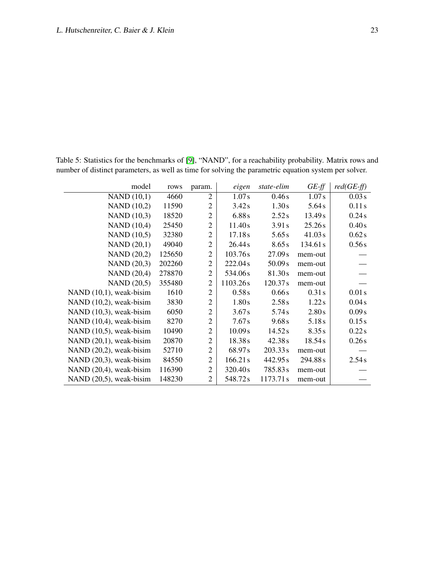| model                      | rows   | param.         | eigen    | state-elim | $GE-f\!f$ | $red(GE-ff)$ |
|----------------------------|--------|----------------|----------|------------|-----------|--------------|
| NAND(10,1)                 | 4660   | 2              | 1.07s    | 0.46s      | 1.07s     | 0.03 s       |
| <b>NAND</b> (10,2)         | 11590  | $\overline{2}$ | 3.42s    | 1.30s      | 5.64s     | 0.11s        |
| <b>NAND</b> (10,3)         | 18520  | $\overline{2}$ | 6.88s    | 2.52 s     | 13.49 s   | 0.24s        |
| <b>NAND</b> (10,4)         | 25450  | $\overline{2}$ | 11.40s   | 3.91 s     | 25.26s    | 0.40s        |
| NAND (10,5)                | 32380  | $\overline{2}$ | 17.18 s  | 5.65s      | 41.03 s   | 0.62s        |
| NAND(20,1)                 | 49040  | $\overline{2}$ | 26.44 s  | 8.65 s     | 134.61 s  | 0.56s        |
| <b>NAND</b> (20,2)         | 125650 | $\overline{2}$ | 103.76s  | 27.09 s    | mem-out   |              |
| <b>NAND</b> (20,3)         | 202260 | $\overline{2}$ | 222.04s  | 50.09 s    | mem-out   |              |
| <b>NAND</b> (20,4)         | 278870 | $\overline{2}$ | 534.06s  | 81.30s     | mem-out   |              |
| NAND (20,5)                | 355480 | $\overline{2}$ | 1103.26s | 120.37 s   | mem-out   |              |
| NAND $(10,1)$ , weak-bisim | 1610   | $\overline{2}$ | 0.58s    | 0.66s      | 0.31 s    | 0.01 s       |
| NAND $(10,2)$ , weak-bisim | 3830   | $\overline{2}$ | 1.80s    | 2.58 s     | 1.22s     | 0.04s        |
| NAND $(10,3)$ , weak-bisim | 6050   | $\overline{2}$ | 3.67 s   | 5.74s      | 2.80s     | 0.09s        |
| NAND (10,4), weak-bisim    | 8270   | $\overline{2}$ | 7.67 s   | 9.68 s     | 5.18s     | 0.15s        |
| NAND $(10,5)$ , weak-bisim | 10490  | $\overline{2}$ | 10.09 s  | 14.52 s    | 8.35s     | 0.22s        |
| NAND $(20,1)$ , weak-bisim | 20870  | $\overline{2}$ | 18.38 s  | 42.38 s    | 18.54 s   | 0.26s        |
| NAND $(20,2)$ , weak-bisim | 52710  | $\overline{2}$ | 68.97s   | 203.33 s   | mem-out   |              |
| NAND $(20,3)$ , weak-bisim | 84550  | $\overline{2}$ | 166.21 s | 442.95 s   | 294.88s   | 2.54 s       |
| NAND $(20,4)$ , weak-bisim | 116390 | $\overline{2}$ | 320.40s  | 785.83s    | mem-out   |              |
| NAND (20,5), weak-bisim    | 148230 | $\overline{2}$ | 548.72s  | 1173.71s   | mem-out   |              |

<span id="page-22-0"></span>Table 5: Statistics for the benchmarks of [\[9\]](#page-13-6), "NAND", for a reachability probability. Matrix rows and number of distinct parameters, as well as time for solving the parametric equation system per solver.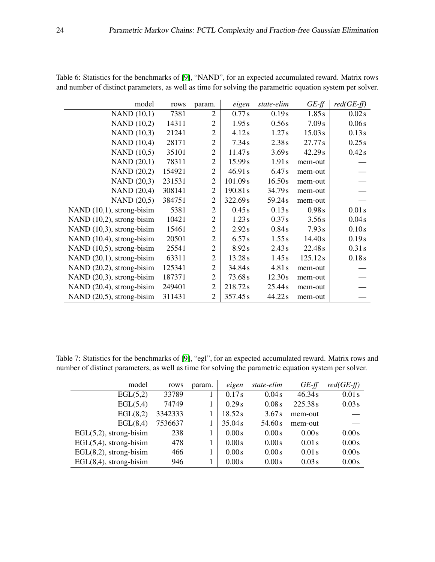| model                     | rows   | param.         | eigen    | state-elim | $GE-ff$  | $red(GE-ff)$ |
|---------------------------|--------|----------------|----------|------------|----------|--------------|
| NAND(10,1)                | 7381   | $\overline{2}$ | 0.77s    | 0.19s      | 1.85s    | 0.02 s       |
| <b>NAND</b> (10,2)        | 14311  | $\overline{2}$ | 1.95s    | 0.56s      | 7.09 s   | 0.06s        |
| NAND (10,3)               | 21241  | $\mathbf{2}$   | 4.12s    | 1.27s      | 15.03 s  | 0.13s        |
| <b>NAND</b> (10,4)        | 28171  | $\overline{2}$ | 7.34s    | 2.38 s     | 27.77s   | 0.25s        |
| NAND (10,5)               | 35101  | $\overline{2}$ | 11.47s   | 3.69 s     | 42.29 s  | 0.42s        |
| <b>NAND</b> (20,1)        | 78311  | $\overline{2}$ | 15.99 s  | 1.91s      | mem-out  |              |
| <b>NAND</b> (20,2)        | 154921 | $\overline{2}$ | 46.91 s  | 6.47s      | mem-out  |              |
| <b>NAND</b> (20,3)        | 231531 | $\mathfrak{2}$ | 101.09 s | 16.50s     | mem-out  |              |
| <b>NAND</b> (20,4)        | 308141 | $\overline{2}$ | 190.81s  | 34.79 s    | mem-out  |              |
| NAND (20,5)               | 384751 | $\overline{2}$ | 322.69s  | 59.24s     | mem-out  |              |
| NAND (10,1), strong-bisim | 5381   | $\overline{2}$ | 0.45s    | 0.13s      | 0.98 s   | 0.01 s       |
| NAND (10,2), strong-bisim | 10421  | $\overline{2}$ | 1.23s    | 0.37 s     | 3.56s    | 0.04s        |
| NAND (10,3), strong-bisim | 15461  | $\overline{2}$ | 2.92s    | 0.84s      | 7.93 s   | 0.10s        |
| NAND (10,4), strong-bisim | 20501  | $\overline{2}$ | 6.57 s   | 1.55 s     | 14.40 s  | 0.19s        |
| NAND (10,5), strong-bisim | 25541  | $\overline{2}$ | 8.92 s   | 2.43 s     | 22.48s   | 0.31 s       |
| NAND (20,1), strong-bisim | 63311  | $\overline{2}$ | 13.28 s  | 1.45s      | 125.12 s | 0.18s        |
| NAND (20,2), strong-bisim | 125341 | $\mathfrak{2}$ | 34.84 s  | 4.81s      | mem-out  |              |
| NAND (20,3), strong-bisim | 187371 | $\overline{2}$ | 73.68s   | 12.30s     | mem-out  |              |
| NAND (20,4), strong-bisim | 249401 | $\overline{2}$ | 218.72s  | 25.44s     | mem-out  |              |
| NAND (20,5), strong-bisim | 311431 | $\overline{2}$ | 357.45s  | 44.22s     | mem-out  |              |

<span id="page-23-0"></span>Table 6: Statistics for the benchmarks of [\[9\]](#page-13-6), "NAND", for an expected accumulated reward. Matrix rows and number of distinct parameters, as well as time for solving the parametric equation system per solver.

<span id="page-23-1"></span>Table 7: Statistics for the benchmarks of [\[9\]](#page-13-6), "egl", for an expected accumulated reward. Matrix rows and number of distinct parameters, as well as time for solving the parametric equation system per solver.

| model                     | rows    | param. | eigen   | state-elim | $GE-ff$ | $red(GE-ff)$ |
|---------------------------|---------|--------|---------|------------|---------|--------------|
| EGL(5,2)                  | 33789   |        | 0.17s   | 0.04 s     | 46.34 s | 0.01 s       |
| EGL(5,4)                  | 74749   |        | 0.29 s  | 0.08s      | 225.38s | 0.03 s       |
| EGL(8,2)                  | 3342333 |        | 18.52 s | 3.67 s     | mem-out |              |
| EGL(8,4)                  | 7536637 |        | 35.04 s | 54.60 s    | mem-out |              |
| $EGL(5,2)$ , strong-bisim | 238     |        | 0.00s   | 0.00s      | 0.00s   | 0.00s        |
| $EGL(5,4)$ , strong-bisim | 478     |        | 0.00s   | 0.00s      | 0.01 s  | 0.00s        |
| $EGL(8,2)$ , strong-bisim | 466     |        | 0.00s   | 0.00s      | 0.01 s  | 0.00s        |
| $EGL(8,4)$ , strong-bisim | 946     |        | 0.00s   | 0.00s      | 0.03 s  | 0.00s        |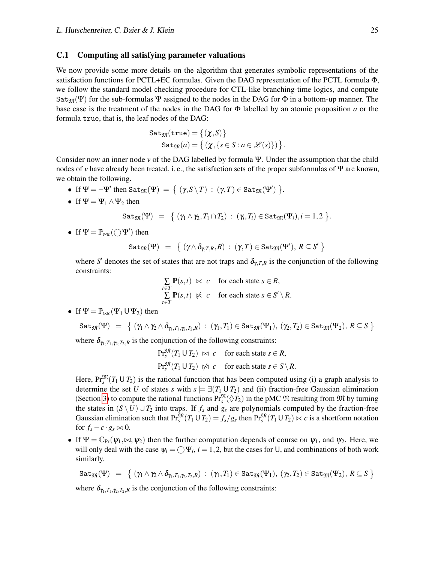#### <span id="page-24-0"></span>C.1 Computing all satisfying parameter valuations

We now provide some more details on the algorithm that generates symbolic representations of the satisfaction functions for PCTL+EC formulas. Given the DAG representation of the PCTL formula Φ, we follow the standard model checking procedure for CTL-like branching-time logics, and compute Sat<sub>M</sub>(Ψ) for the sub-formulas Ψ assigned to the nodes in the DAG for  $\Phi$  in a bottom-up manner. The base case is the treatment of the nodes in the DAG for Φ labelled by an atomic proposition *a* or the formula true, that is, the leaf nodes of the DAG:

$$
\begin{aligned} \mathtt{Sat}_\mathfrak{M}(\mathtt{true})&=\big\{(\chi,S)\big\}\\ \mathtt{Sat}_\mathfrak{M}(a)&=\big\{\left(\chi,\{s\in S: a\in\mathscr{L}(s)\}\right)\big\}. \end{aligned}
$$

Consider now an inner node *v* of the DAG labelled by formula Ψ. Under the assumption that the child nodes of *v* have already been treated, i. e., the satisfaction sets of the proper subformulas of Ψ are known, we obtain the following.

- If  $\Psi = \neg \Psi'$  then  $\text{Sat}_{\mathfrak{M}}(\Psi) = \{ (\gamma, S \setminus T) : (\gamma, T) \in \text{Sat}_{\mathfrak{M}}(\Psi') \}$ .
- If  $\Psi = \Psi_1 \wedge \Psi_2$  then

$$
\mathtt{Sat}_\mathfrak{M}(\Psi) = \{ (\gamma_1 \wedge \gamma_2, T_1 \cap T_2) : (\gamma_i, T_i) \in \mathtt{Sat}_\mathfrak{M}(\Psi_i), i = 1, 2 \}.
$$

• If  $\Psi = \mathbb{P}_{\bowtie c}(\bigcirc \Psi')$  then

$$
\mathtt{Sat}_\mathfrak{M}(\Psi) \ = \ \big\{\ (\gamma \wedge \delta_{\gamma,T,R},R) \,:\, (\gamma,T) \in \mathtt{Sat}_\mathfrak{M}(\Psi'),\, R \subseteq S' \ \big\}
$$

where *S'* denotes the set of states that are not traps and  $\delta_{\gamma,T,R}$  is the conjunction of the following constraints:

$$
\sum_{t \in T} \mathbf{P}(s,t) \bowtie c \quad \text{for each state } s \in R,
$$
\n
$$
\sum_{t \in T} \mathbf{P}(s,t) \bowtie c \quad \text{for each state } s \in S' \setminus R.
$$

• If 
$$
\Psi = \mathbb{P}_{\bowtie c}(\Psi_1 \cup \Psi_2)
$$
 then

$$
\mathtt{Sat}_\mathfrak{M}(\Psi) \ = \ \big\{\ (\gamma_1 \wedge \gamma_2 \wedge \delta_{\gamma_1, T_1, \gamma_2, T_2, R}) \, : \, (\gamma_1, T_1) \in \mathtt{Sat}_\mathfrak{M}(\Psi_1), \ (\gamma_2, T_2) \in \mathtt{Sat}_\mathfrak{M}(\Psi_2), \ R \subseteq S \ \big\}
$$

where  $\delta_{\gamma_1, T_1, \gamma_2, T_2, R}$  is the conjunction of the following constraints:

 $\Pr_s^{\mathfrak{M}}(T_1 \cup T_2) \bowtie c$  for each state  $s \in R$ ,  $\Pr_s^{\mathfrak{M}}(T_1 \cup T_2) \not\approx c$  for each state  $s \in S \setminus R$ .

Here,  $Pr_s^{\mathfrak{M}}(T_1 \cup T_2)$  is the rational function that has been computed using (i) a graph analysis to determine the set *U* of states *s* with  $s \models \exists (T_1 \cup T_2)$  and (ii) fraction-free Gaussian elimination (Section [3\)](#page-4-0) to compute the rational functions  $Pr_s^{\mathfrak{N}}(\Diamond T_2)$  in the pMC  $\mathfrak{N}$  resulting from  $\mathfrak{M}$  by turning the states in  $(S \setminus U) \cup T_2$  into traps. If  $f_s$  and  $g_s$  are polynomials computed by the fraction-free Gaussian elimination such that  $\Pr_s^{\mathfrak{M}}(T_1 \cup T_2) = f_s/g_s$  then  $\Pr_s^{\mathfrak{M}}(T_1 \cup T_2) \bowtie c$  is a shortform notation for  $f_s - c \cdot g_s \bowtie 0$ .

• If  $\Psi = \mathbb{C}_{\Pr}(\psi_1, \bowtie, \psi_2)$  then the further computation depends of course on  $\psi_1$ , and  $\psi_2$ . Here, we will only deal with the case  $\psi_i = \bigcirc \Psi_i$ ,  $i = 1, 2$ , but the cases for U, and combinations of both work similarly.

$$
\textnormal{Sat}_{\mathfrak{M}}(\Psi) \hspace{0.2cm} = \hspace{0.2cm} \big\{ \hspace{0.2cm} (\gamma_1 \wedge \gamma_2 \wedge \delta_{\gamma_1, T_1, \gamma_2, T_2, R}) \hspace{0.1cm} : \hspace{0.1cm} (\gamma_1, T_1) \in \textnormal{Sat}_{\mathfrak{M}}(\Psi_1), \hspace{0.2cm} (\gamma_2, T_2) \in \textnormal{Sat}_{\mathfrak{M}}(\Psi_2), \hspace{0.1cm} R \subseteq S \hspace{0.1cm} \big\}
$$

where  $\delta_{\gamma_1, T_1, \gamma_2, T_2, R}$  is the conjunction of the following constraints: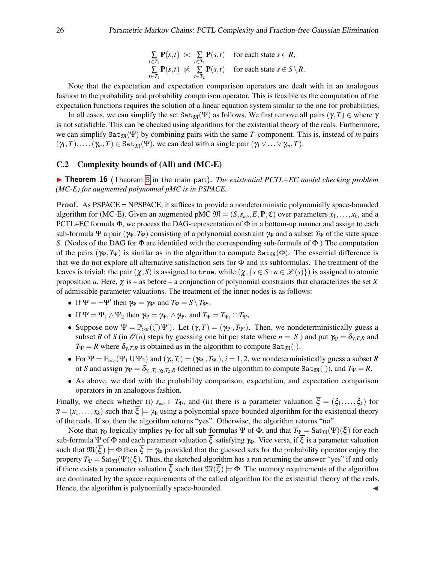$$
\sum_{t \in T_1} \mathbf{P}(s,t) \bowtie \sum_{t \in T_2} \mathbf{P}(s,t) \quad \text{for each state } s \in R,
$$
\n
$$
\sum_{t \in T_1} \mathbf{P}(s,t) \bowtie \sum_{t \in T_2} \mathbf{P}(s,t) \quad \text{for each state } s \in S \setminus R.
$$

Note that the expectation and expectation comparison operators are dealt with in an analogous fashion to the probability and probability comparison operator. This is feasible as the computation of the expectation functions requires the solution of a linear equation system similar to the one for probabilities.

In all cases, we can simplify the set Sat<sub>M</sub>(Ψ) as follows. We first remove all pairs (γ,*T*)  $\in$  where γ is not satisfiable. This can be checked using algorithms for the existential theory of the reals. Furthermore, we can simplify  $\text{Sat}_{\mathfrak{M}}(\Psi)$  by combining pairs with the same *T*-component. This is, instead of *m* pairs  $(\gamma_1, T), \ldots, (\gamma_m, T) \in \text{Sat}_{\mathfrak{M}}(\Psi)$ , we can deal with a single pair  $(\gamma_1 \vee \ldots \vee \gamma_m, T)$ .

#### C.2 Complexity bounds of (All) and (MC-E)

<span id="page-25-0"></span>**► Theorem 16** (Theorem [5](#page-10-0) in the main part). *The existential PCTL+EC model checking problem (MC-E) for augmented polynomial pMC is in PSPACE.*

Proof. As PSPACE = NPSPACE, it suffices to provide a nondeterministic polynomially space-bounded algorithm for (MC-E). Given an augmented pMC  $\mathfrak{M} = (S, s_{\text{init}}, E, \mathbf{P}, \mathfrak{C})$  over parameters  $x_1, \ldots, x_k$ , and a PCTL+EC formula  $\Phi$ , we process the DAG-representation of  $\Phi$  in a bottom-up manner and assign to each sub-formula Ψ a pair  $(\gamma_{\Psi}, T_{\Psi})$  consisting of a polynomial constraint  $\gamma_{\Psi}$  and a subset  $T_{\Psi}$  of the state space *S*. (Nodes of the DAG for Φ are identified with the corresponding sub-formula of Φ.) The computation of the pairs ( $\gamma_{\Psi}, T_{\Psi}$ ) is similar as in the algorithm to compute Sat<sub>M</sub>( $\Phi$ ). The essential difference is that we do not explore all alternative satisfaction sets for  $\Phi$  and its subformulas. The treatment of the leaves is trivial: the pair  $(\chi, S)$  is assigned to true, while  $(\chi, {s \in S : a \in \mathscr{L}(s)}$  is assigned to atomic proposition *a*. Here,  $\chi$  is – as before – a conjunction of polynomial constraints that characterizes the set *X* of admissible parameter valuations. The treatment of the inner nodes is as follows:

- If  $\Psi = \neg \Psi'$  then  $\gamma_{\Psi} = \gamma_{\Psi'}$  and  $T_{\Psi} = S \setminus T_{\Psi'}$ .
- If  $\Psi = \Psi_1 \wedge \Psi_2$  then  $\gamma_{\Psi} = \gamma_{\Psi_1} \wedge \gamma_{\Psi_2}$  and  $T_{\Psi} = T_{\Psi_1} \cap T_{\Psi_2}$
- Suppose now  $\Psi = \mathbb{P}_{\bowtie c}(\bigcirc \Psi')$ . Let  $(\gamma, T) = (\gamma_{\Psi'}, T_{\Psi'})$ . Then, we nondeterministically guess a subset *R* of *S* (in  $\mathcal{O}(n)$  steps by guessing one bit per state where  $n = |S|$ ) and put  $\gamma_{\Psi} = \delta_{\gamma, T, R}$  and  $T_{\Psi} = R$  where  $\delta_{\gamma, T, R}$  is obtained as in the algorithm to compute  $\text{Sat}_{\mathfrak{M}}(\cdot)$ .
- For  $\Psi = \mathbb{P}_{\bowtie c}(\Psi_1 \cup \Psi_2)$  and  $(\gamma_i, T_i) = (\gamma_{\Psi_i}, T_{\Psi_i})$ ,  $i = 1, 2$ , we nondeterministically guess a subset *R* of *S* and assign  $\gamma_{\Psi} = \delta_{\gamma_1, T_1, \gamma_2, T_2, R}$  (defined as in the algorithm to compute Sat<sub>M</sub>(·)), and  $T_{\Psi} = R$ .
- As above, we deal with the probability comparison, expectation, and expectation comparison operators in an analogous fashion.

Finally, we check whether (i)  $s_{init} \in T_{\Phi}$ , and (ii) there is a parameter valuation  $\overline{\xi} = (\xi_1, \dots, \xi_k)$  for  $\bar{x} = (x_1, \ldots, x_k)$  such that  $\bar{\xi} \models \gamma_{\Phi}$  using a polynomial space-bounded algorithm for the existential theory of the reals. If so, then the algorithm returns "yes". Otherwise, the algorithm returns "no".

Note that  $\gamma_{\Phi}$  logically implies  $\gamma_{\Psi}$  for all sub-formulas  $\Psi$  of  $\Phi$ , and that  $T_{\Psi} = \text{Sat}_{\mathfrak{M}}(\Psi)(\xi)$  for each sub-formula Ψ of Φ and each parameter valuation  $\overline{\xi}$  satisfying  $\gamma_{\Phi}$ . Vice versa, if  $\overline{\xi}$  is a parameter valuation such that  $\mathfrak{M}(\overline{\xi}) \models \Phi$  then  $\overline{\xi} \models \gamma_{\Phi}$  provided that the guessed sets for the probability operator enjoy the property  $T_{\Psi} = \text{Sat}_{\mathfrak{M}}(\Psi)(\xi)$ . Thus, the sketched algorithm has a run returning the answer "yes" if and only if there exists a parameter valuation  $\overline{\xi}$  such that  $\mathfrak{M}(\overline{\xi}) \models \Phi$ . The memory requirements of the algorithm are dominated by the space requirements of the called algorithm for the existential theory of the reals. Hence, the algorithm is polynomially space-bounded.  $\triangleleft$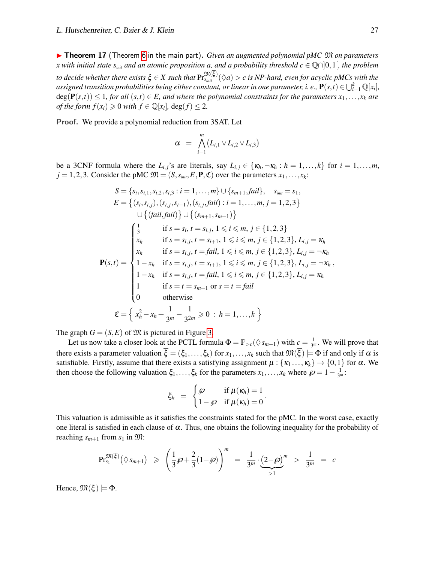▶ Theorem 17 (Theorem [6](#page-10-1) in the main part). *Given an augmented polynomial pMC*  $\mathfrak{M}$  *on parameters*  $\bar{x}$  *with initial state*  $s_{\text{init}}$  *and an atomic proposition a, and a probability threshold*  $c \in \mathbb{Q} \cap ]0,1[$ *, the problem*  $t$ o decide whether there exists  $\overline{\xi}\in X$  such that  $\Pr^{\mathfrak{M}(\xi)}_{s_{init}}(\Diamond a)>c$  is NP-hard, even for acyclic pMCs with the assigned transition probabilities being either constant, or linear in one parameter, i. e.,  $\mathbf{P}(s,t)\in\bigcup_{i=1}^k\mathbb{Q}[x_i]$ ,  $deg(P(s,t)) \leq 1$ , for all  $(s,t) \in E$ , and where the polynomial constraints for the parameters  $x_1, \ldots, x_k$  are *of the form*  $f(x_i) \ge 0$  *with*  $f \in \mathbb{Q}[x_i]$ ,  $\deg(f) \le 2$ .

Proof. We provide a polynomial reduction from 3SAT. Let

$$
\alpha = \bigwedge_{i=1}^m (L_{i,1} \vee L_{i,2} \vee L_{i,3})
$$

be a 3CNF formula where the  $L_{i,j}$ 's are literals, say  $L_{i,j} \in \{\kappa_h, \neg \kappa_h : h = 1, \ldots, k\}$  for  $i = 1, \ldots, m$ ,  $j = 1, 2, 3$ . Consider the pMC  $\mathfrak{M} = (S, s_{\text{init}}, E, \mathbf{P}, \mathfrak{C})$  over the parameters  $x_1, \ldots, x_k$ :

$$
S = \{s_i, s_{i,1}, s_{i,2}, s_{i,3} : i = 1, ..., m\} \cup \{s_{m+1}, fail\}, s_{\text{init}} = s_1, \nE = \{(s_i, s_{i,j}), (s_{i,j}, s_{i+1}), (s_{i,j}, fail) : i = 1, ..., m, j = 1, 2, 3\} \cup \{(fail, fail)\} \cup \{(s_{m+1}, s_{m+1})\} \n\begin{cases} \frac{1}{3} & \text{if } s = s_i, t = s_{i,j}, 1 \leq i \leq m, j \in \{1, 2, 3\} \\ x_h & \text{if } s = s_{i,j}, t = s_{i+1}, 1 \leq i \leq m, j \in \{1, 2, 3\}, L_{i,j} = \kappa_h \\ x_h & \text{if } s = s_{i,j}, t = fail, 1 \leq i \leq m, j \in \{1, 2, 3\}, L_{i,j} = \neg \kappa_h \\ 1 - x_h & \text{if } s = s_{i,j}, t = s_{i+1}, 1 \leq i \leq m, j \in \{1, 2, 3\}, L_{i,j} = \neg \kappa_h \\ 1 - x_h & \text{if } s = s_{i,j}, t = fail, 1 \leq i \leq m, j \in \{1, 2, 3\}, L_{i,j} = \kappa_h \\ 1 & \text{if } s = t = s_{m+1} \text{ or } s = t = fail \end{cases} \n\mathfrak{C} = \left\{x_h^2 - x_h + \frac{1}{3^m} - \frac{1}{3^{2m}} \geq 0 : h = 1, ..., k\right\}
$$

The graph  $G = (S, E)$  of  $\mathfrak{M}$  is pictured in Figure [3.](#page-27-0)

Let us now take a closer look at the PCTL formula  $\Phi = \mathbb{P}_{>c}(\Diamond s_{m+1})$  with  $c = \frac{1}{3^m}$  $\frac{1}{3^m}$ . We will prove that there exists a parameter valuation  $\overline{\xi} = (\xi_1, \ldots, \xi_k)$  for  $x_1, \ldots, x_k$  such that  $\mathfrak{M}(\overline{\xi}) \models \Phi$  if and only if  $\alpha$  is satisfiable. Firstly, assume that there exists a satisfying assignment  $\mu$  : { $\kappa_1 \dots, \kappa_k$ }  $\rightarrow$  {0,1} for  $\alpha$ . We then choose the following valuation  $\xi_1,\ldots,\xi_k$  for the parameters  $x_1,\ldots,x_k$  where  $\wp = 1 - \frac{1}{3^m}$  $\frac{1}{3^m}$ :

$$
\xi_h = \begin{cases} \wp & \text{if } \mu(\kappa_h) = 1 \\ 1 - \wp & \text{if } \mu(\kappa_h) = 0 \end{cases}.
$$

This valuation is admissible as it satisfies the constraints stated for the pMC. In the worst case, exactly one literal is satisfied in each clause of  $\alpha$ . Thus, one obtains the following inequality for the probability of reaching  $s_{m+1}$  from  $s_1$  in  $\mathfrak{M}$ :

$$
\Pr_{s_1}^{\mathfrak{M}(\overline{\xi})}\left(\Diamond s_{m+1}\right) \geqslant \left(\frac{1}{3}\wp + \frac{2}{3}(1-\wp)\right)^m = \frac{1}{3^m} \cdot \underbrace{\left(2-\wp\right)^m}_{>1} > \frac{1}{3^m} = c
$$

Hence,  $\mathfrak{M}(\overline{\xi}) \models \Phi$ .

,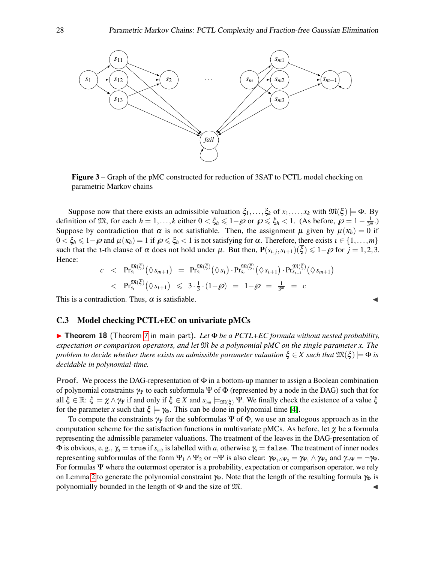<span id="page-27-0"></span>

Figure 3 – Graph of the pMC constructed for reduction of 3SAT to PCTL model checking on parametric Markov chains

Suppose now that there exists an admissible valuation  $\xi_1,\ldots,\xi_k$  of  $x_1,\ldots,x_k$  with  $\mathfrak{M}(\overline{\xi}) \models \Phi$ . By definition of  $\mathfrak{M}$ , for each  $h = 1, ..., k$  either  $0 < \xi_h \leq 1 - \wp$  or  $\wp \leq \xi_h < 1$ . (As before,  $\wp = 1 - \frac{1}{3^n}$  $\frac{1}{3^m}$ .) Suppose by contradiction that  $\alpha$  is not satisfiable. Then, the assignment  $\mu$  given by  $\mu(\kappa_h) = 0$  if  $0 < \xi_h \leq 1-\varphi$  and  $\mu(\kappa_h) = 1$  if  $\varphi \leq \xi_h < 1$  is not satisfying for  $\alpha$ . Therefore, there exists  $i \in \{1,\ldots,m\}$ such that the *t*-th clause of  $\alpha$  does not hold under  $\mu$ . But then,  $P(s_{i,j}, s_{i+1})(\overline{\xi}) \leq 1 - \varphi$  for  $j = 1, 2, 3$ . Hence:

$$
c < \mathbf{Pr}_{s_1}^{\mathfrak{M}(\overline{\xi})}(\lozenge s_{m+1}) = \mathbf{Pr}_{s_1}^{\mathfrak{M}(\overline{\xi})}(\lozenge s_1) \cdot \mathbf{Pr}_{s_i}^{\mathfrak{M}(\overline{\xi})}(\lozenge s_{i+1}) \cdot \mathbf{Pr}_{s_{i+1}}^{\mathfrak{M}(\overline{\xi})}(\lozenge s_{m+1}) < \mathbf{Pr}_{s_i}^{\mathfrak{M}(\overline{\xi})}(\lozenge s_{i+1}) \leq 3 \cdot \frac{1}{3} \cdot (1 - \wp) = 1 - \wp = \frac{1}{3^m} = c
$$

This is a contradiction. Thus,  $\alpha$  is satisfiable.

#### C.3 Model checking PCTL+EC on univariate pMCs

I Theorem 18 (Theorem [7](#page-11-0) in main part). *Let* Φ *be a PCTL+EC formula without nested probability, expectation or comparison operators, and let* M *be a polynomial pMC on the single parameter x. The problem to decide whether there exists an admissible parameter valuation*  $\xi \in X$  *such that*  $\mathfrak{M}(\xi) \models \Phi$  *is decidable in polynomial-time.*

**Proof.** We process the DAG-representation of  $\Phi$  in a bottom-up manner to assign a Boolean combination of polynomial constraints  $\gamma_V$  to each subformula Ψ of Φ (represented by a node in the DAG) such that for all  $\xi \in \mathbb{R}$ :  $\xi \models \chi \land \gamma \psi$  if and only if  $\xi \in X$  and  $s_{\text{init}} \models_{\mathfrak{M}(\xi)} \Psi$ . We finally check the existence of a value  $\xi$ for the parameter *x* such that  $\xi \models \gamma_{\Phi}$ . This can be done in polynomial time [\[4\]](#page-13-12).

To compute the constraints  $\gamma_V$  for the subformulas  $\Psi$  of  $\Phi$ , we use an analogous approach as in the computation scheme for the satisfaction functions in multivariate pMCs. As before, let  $\chi$  be a formula representing the admissible parameter valuations. The treatment of the leaves in the DAG-presentation of  $\Phi$  is obvious, e. g.,  $\gamma_a = \text{true}$  if  $s_{\text{init}}$  is labelled with *a*, otherwise  $\gamma_s = \text{false}$ . The treatment of inner nodes representing subformulas of the form  $\Psi_1 \wedge \Psi_2$  or  $\neg \Psi$  is also clear:  $\gamma_{\Psi_1 \wedge \Psi_2} = \gamma_{\Psi_1} \wedge \gamma_{\Psi_2}$  and  $\gamma_{\neg \Psi} = \neg \gamma_{\Psi}$ . For formulas Ψ where the outermost operator is a probability, expectation or comparison operator, we rely on Lemma [2](#page-6-0) to generate the polynomial constraint  $\gamma_\Psi$ . Note that the length of the resulting formula  $\gamma_\Phi$  is polynomially bounded in the length of  $\Phi$  and the size of  $\mathfrak{M}$ .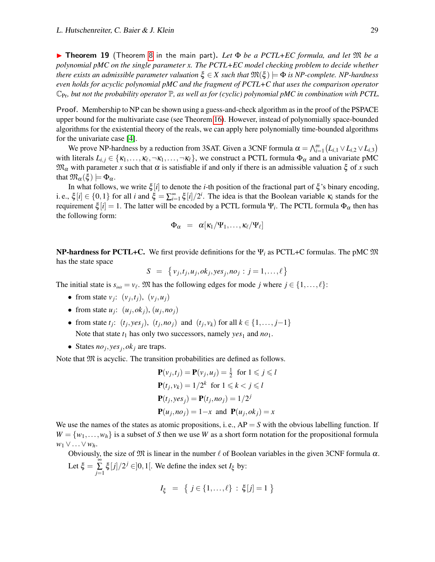I Theorem 19 (Theorem [8](#page-11-1) in the main part). *Let* Φ *be a PCTL+EC formula, and let* M *be a polynomial pMC on the single parameter x. The PCTL+EC model checking problem to decide whether there exists an admissible parameter valuation*  $\xi \in X$  *such that*  $\mathfrak{M}(\xi) \models \Phi$  *is NP-complete. NP-hardness even holds for acyclic polynomial pMC and the fragment of PCTL+C that uses the comparison operator*  $\mathbb{C}_{\text{Pr}}$ , but not the probability operator  $\mathbb{P}$ , as well as for (cyclic) polynomial pMC in combination with PCTL.

Proof. Membership to NP can be shown using a guess-and-check algorithm as in the proof of the PSPACE upper bound for the multivariate case (see Theorem [16\)](#page-25-0). However, instead of polynomially space-bounded algorithms for the existential theory of the reals, we can apply here polynomially time-bounded algorithms for the univariate case [\[4\]](#page-13-12).

We prove NP-hardness by a reduction from 3SAT. Given a 3CNF formula  $\alpha = \bigwedge_{i=1}^{m} (L_{i,1} \vee L_{i,2} \vee L_{i,3})$ with literals  $L_{i,j} \in \{\kappa_1,\ldots,\kappa_\ell,\neg\kappa_1,\ldots,\neg\kappa_\ell\}$ , we construct a PCTL formula  $\Phi_\alpha$  and a univariate pMC  $\mathfrak{M}_{\alpha}$  with parameter *x* such that  $\alpha$  is satisfiable if and only if there is an admissible valuation  $\xi$  of *x* such that  $\mathfrak{M}_{\alpha}(\xi) \models \Phi_{\alpha}$ .

In what follows, we write ξ [*i*] to denote the *i*-th position of the fractional part of ξ 's binary encoding, i. e.,  $\xi[i] \in \{0,1\}$  for all *i* and  $\xi = \sum_{i=1}^{\infty} \xi[i]/2^i$ . The idea is that the Boolean variable  $\kappa_i$  stands for the requirement  $\xi[i]=1.$  The latter will be encoded by a PCTL formula  $\Psi_i.$  The PCTL formula  $\Phi_\alpha$  then has the following form:

$$
\Phi_\alpha \ = \ \alpha[\kappa_1/\Psi_1, \ldots, \kappa_\ell/\Psi_\ell]
$$

NP-hardness for PCTL+C. We first provide definitions for the Ψ*<sup>i</sup>* as PCTL+C formulas. The pMC M has the state space

$$
S = \{v_j, t_j, u_j, ok_j, yes_j, no_j : j = 1, ..., \ell\}
$$

The initial state is  $s_{\text{init}} = v_\ell$ . M has the following edges for mode *j* where  $j \in \{1, ..., \ell\}$ :

- from state  $v_j$ :  $(v_j, t_j)$ ,  $(v_j, u_j)$
- from state  $u_j$ :  $(u_j, ok_j)$ ,  $(u_j, no_j)$
- $\bullet$  from state *t<sub>j</sub>*: (*t<sub>j</sub>*, *yes<sub>j</sub>*), (*t<sub>j</sub>*, *noj*) and (*t<sub>j</sub>*, *v<sub>k</sub>*) for all *k* ∈ {1,..., *j*−1} Note that state  $t_1$  has only two successors, namely  $yes_1$  and  $no_1$ .
- States  $no_j, yes_j, ok_j$  are traps.

Note that  $\mathfrak M$  is acyclic. The transition probabilities are defined as follows.

$$
\mathbf{P}(v_j, t_j) = \mathbf{P}(v_j, u_j) = \frac{1}{2} \text{ for } 1 \leq j \leq l
$$
  
\n
$$
\mathbf{P}(t_j, v_k) = 1/2^k \text{ for } 1 \leq k < j \leq l
$$
  
\n
$$
\mathbf{P}(t_j, yes_j) = \mathbf{P}(t_j, no_j) = 1/2^j
$$
  
\n
$$
\mathbf{P}(u_j, no_j) = 1 - x \text{ and } \mathbf{P}(u_j, ok_j) = x
$$

We use the names of the states as atomic propositions, i. e.,  $AP = S$  with the obvious labelling function. If  $W = \{w_1, \ldots, w_h\}$  is a subset of *S* then we use *W* as a short form notation for the propositional formula *w*<sup>1</sup> ∨...∨*wh*.

Obviously, the size of  $\mathfrak M$  is linear in the number  $\ell$  of Boolean variables in the given 3CNF formula  $\alpha$ . Let  $\xi = \sum_{n=1}^{\infty}$  $\sum_{j=1}$   $\xi[j]/2^j \in ]0,1[$ . We define the index set  $I_{\xi}$  by:

$$
I_{\xi} = \{ j \in \{1, ..., \ell\} : \xi[j] = 1 \}
$$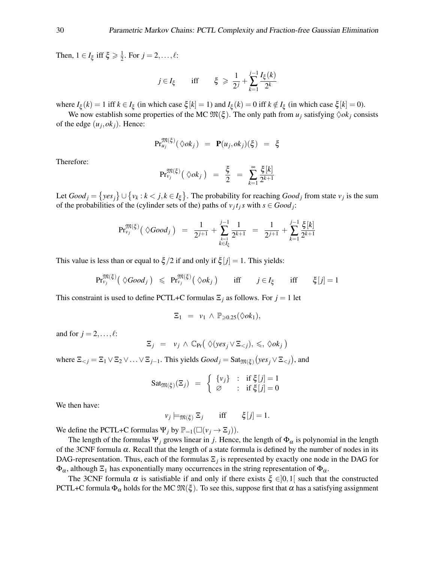Then,  $1 \in I_{\xi}$  iff  $\xi \geq \frac{1}{2}$  $\frac{1}{2}$ . For  $j = 2, ..., \ell$ :

$$
j \in I_{\xi}
$$
 iff  $\xi \ge \frac{1}{2^j} + \sum_{k=1}^{j-1} \frac{I_{\xi}(k)}{2^k}$ 

where  $I_{\xi}(k) = 1$  iff  $k \in I_{\xi}$  (in which case  $\xi[k] = 1$ ) and  $I_{\xi}(k) = 0$  iff  $k \notin I_{\xi}$  (in which case  $\xi[k] = 0$ ).

We now establish some properties of the MC  $\mathfrak{M}(\xi)$ . The only path from  $u_j$  satisfying  $\Diamond ok_j$  consists of the edge  $(u_j, ok_j)$ . Hence:

$$
\mathrm{Pr}_{u_j}^{\mathfrak{M}(\xi)}(\Diamond ok_j) = \mathbf{P}(u_j, ok_j)(\xi) = \xi
$$

Therefore:

$$
\mathrm{Pr}^{\mathfrak{M}(\xi)}_{v_j}\big(\Diamond ok_j\big) = \frac{\xi}{2} = \sum_{k=1}^{\infty} \frac{\xi[k]}{2^{k+1}}
$$

Let  $Good_j = \{yes_j\} \cup \{v_k : k < j, k \in I_\xi\}$ . The probability for reaching  $Good_j$  from state  $v_j$  is the sum of the probabilities of the (cylinder sets of the) paths of  $v_j t_j s$  with  $s \in Good_j$ :

$$
\mathrm{Pr}_{\nu_j}^{\mathfrak{M}(\xi)}\big(\ \Diamond Good_j\ \big) \ = \ \frac{1}{2^{j+1}} + \sum_{\substack{k=1 \ k \in I_{\xi}}}^{j-1} \frac{1}{2^{k+1}} \ = \ \frac{1}{2^{j+1}} + \sum_{k=1}^{j-1} \frac{\xi[k]}{2^{k+1}}
$$

This value is less than or equal to  $\zeta/2$  if and only if  $\zeta[j] = 1$ . This yields:

$$
\mathrm{Pr}_{\nu_j}^{\mathfrak{M}(\xi)}\big(\ \Diamond Good_j\ \big) \ \leqslant \ \mathrm{Pr}_{\nu_j}^{\mathfrak{M}(\xi)}\big(\ \Diamond ok_j\ \big) \qquad \text{iff} \qquad j \in I_{\xi} \qquad \text{iff} \qquad \xi[j] = 1
$$

This constraint is used to define PCTL+C formulas  $\Xi_j$  as follows. For  $j = 1$  let

$$
\Xi_1 = v_1 \wedge \mathbb{P}_{\geqslant 0.25}(\lozenge ok_1),
$$

and for  $j = 2, \ldots, \ell$ :

$$
\Xi_j = v_j \wedge \mathbb{C}_{\Pr}(\Diamond (yes_j \vee \Xi_{< j}), \leq, \Diamond ok_j)
$$

where  $\Xi_{<} j = \Xi_1 \vee \Xi_2 \vee \ldots \vee \Xi_{j-1}$ . This yields  $Good_j = Sat_{\mathfrak{M}(\xi)}(yes_j \vee \Xi_{<} j)$ , and

$$
\mathrm{Sat}_{\mathfrak{M}(\xi)}(\Xi_j) = \begin{cases} \{v_j\} & \colon \text{ if } \xi[j] = 1 \\ \varnothing & \colon \text{ if } \xi[j] = 0 \end{cases}
$$

We then have:

$$
v_j \models_{\mathfrak{M}(\xi)} \Xi_j \quad \text{iff} \quad \xi[j] = 1.
$$

We define the PCTL+C formulas  $\Psi_j$  by  $\mathbb{P}_{=1}(\Box(\nu_j \rightarrow \Xi_j)).$ 

The length of the formulas  $\Psi_j$  grows linear in *j*. Hence, the length of  $\Phi_\alpha$  is polynomial in the length of the 3CNF formula  $\alpha$ . Recall that the length of a state formula is defined by the number of nodes in its DAG-representation. Thus, each of the formulas Ξ*<sup>j</sup>* is represented by exactly one node in the DAG for  $\Phi_{\alpha}$ , although  $\Xi_1$  has exponentially many occurrences in the string representation of  $\Phi_{\alpha}$ .

The 3CNF formula  $\alpha$  is satisfiable if and only if there exists  $\xi \in ]0,1[$  such that the constructed PCTL+C formula  $\Phi_{\alpha}$  holds for the MC  $\mathfrak{M}(\xi)$ . To see this, suppose first that  $\alpha$  has a satisfying assignment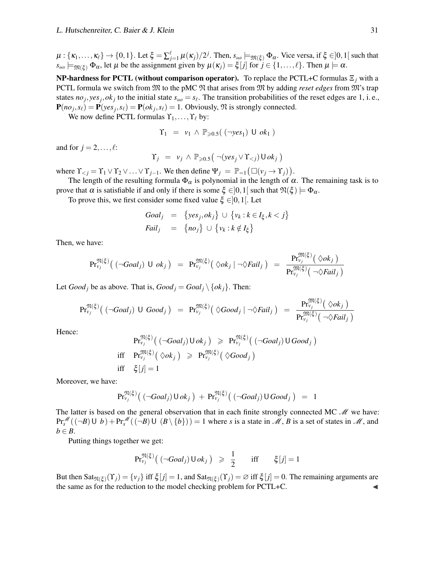$\mu: \{\kappa_1,\ldots,\kappa_\ell\} \to \{0,1\}$ . Let  $\xi = \sum_{j=1}^\ell \mu(\kappa_j)/2^j$ . Then,  $s_{\scriptscriptstyle init} \models_{\mathfrak{M}(\xi)} \Phi_\alpha$ . Vice versa, if  $\xi \in ]0,1[$  such that  $s_{\text{init}} \models_{\mathfrak{M}(\mathcal{E})} \Phi_{\alpha}$ , let  $\mu$  be the assignment given by  $\mu(\kappa_i) = \xi[j]$  for  $j \in \{1, ..., \ell\}$ . Then  $\mu \models \alpha$ .

NP-hardness for PCTL (without comparison operator). To replace the PCTL+C formulas Ξ*<sup>j</sup>* with a PCTL formula we switch from  $M$  to the pMC  $M$  that arises from  $M$  by adding *reset edges* from  $M$ 's trap states  $no_j, yes_j, ok_j$  to the initial state  $s_{init} = s_\ell$ . The transition probabilities of the reset edges are 1, i.e.,  $P(no_j, s_\ell) = P(yes_j, s_\ell) = P(ok_j, s_\ell) = 1$ . Obviously,  $\Re$  is strongly connected.

We now define PCTL formulas  $\Upsilon_1, \ldots, \Upsilon_\ell$  by:

$$
\Upsilon_1 = v_1 \wedge \mathbb{P}_{\geqslant 0.5}((\neg yes_1) \cup ok_1)
$$

and for  $j = 2, \ldots, \ell$ :

$$
\Upsilon_j = v_j \wedge \mathbb{P}_{\geqslant 0.5}(\neg (yes_j \vee \Upsilon_{
$$

where  $\Upsilon_{< j} = \Upsilon_1 \vee \Upsilon_2 \vee \ldots \vee \Upsilon_{j-1}$ . We then define  $\Psi_j = \mathbb{P}_{=1}(\Box(\nu_j \to \Upsilon_j)).$ 

The length of the resulting formula  $\Phi_{\alpha}$  is polynomial in the length of  $\alpha$ . The remaining task is to prove that α is satisfiable if and only if there is some  $\xi \in ]0,1[$  such that  $\mathfrak{N}(\xi) \models \Phi_{\alpha}$ .

To prove this, we first consider some fixed value  $\xi \in ]0,1[$ . Let

$$
Goal_j = \{yes_j, ok_j\} \cup \{v_k : k \in I_{\xi}, k < j\}
$$
\n
$$
fail_j = \{no_j\} \cup \{v_k : k \notin I_{\xi}\}
$$

Then, we have:

$$
\Pr_{v_j}^{\mathfrak{M}(\xi)}\big( \; (\neg \text{Goal}_j) \; \cup \; \text{ok}_j \; \big) \;\; = \;\; \Pr_{v_j}^{\mathfrak{M}(\xi)}\big( \; \Diamond \text{ok}_j \; | \; \neg \Diamond \text{Fall}_j \; \big) \;\; = \;\; \frac{\Pr_{v_j}^{\mathfrak{M}(\xi)}\big( \; \Diamond \text{ok}_j \; \big)}{\Pr_{v_j}^{\mathfrak{M}(\xi)}\big( \; \neg \Diamond \text{Fall}_j \; \big)}
$$

Let *Good j* be as above. That is,  $Good_j = Goal_j \setminus \{ok_j\}$ . Then:

$$
Pr_{v_j}^{\mathfrak{N}(\xi)}\big( \; (\neg \text{Goal}_j) \; \cup \; \text{Good}_j \; \big) \;\; = \;\; Pr_{v_j}^{\mathfrak{M}(\xi)}\big( \; \Diamond \text{Good}_j \; | \; \neg \Diamond \text{fail}_j \; \big) \;\; = \;\; \frac{Pr_{v_j}^{\mathfrak{M}(\xi)}\big( \; \Diamond \text{ok}_j \; \big)}{Pr_{v_j}^{\mathfrak{M}(\xi)}\big( \; \neg \Diamond \text{fail}_j \; \big)}
$$

Hence:

$$
\Pr_{v_j}^{\mathfrak{N}(\xi)}\left( (\neg \text{Goal}_j) \cup \text{ok}_j \right) \geqslant \Pr_{v_j}^{\mathfrak{N}(\xi)}\left( (\neg \text{Goal}_j) \cup \text{Good}_j \right)
$$
\niff

\n
$$
\Pr_{v_j}^{\mathfrak{M}(\xi)}\left( \diamondsuit \text{ok}_j \right) \geqslant \Pr_{v_j}^{\mathfrak{M}(\xi)}\left( \diamondsuit \text{Good}_j \right)
$$
\niff

\n
$$
\xi[j] = 1
$$

Moreover, we have:

$$
Pr_{\nu_j}^{\mathfrak{N}(\xi)}\big( \left(\neg \text{Goal}_j\right) \cup \text{ok}_j\big) + Pr_{\nu_j}^{\mathfrak{N}(\xi)}\big( \left(\neg \text{Goal}_j\right) \cup \text{Good}_j\big) = 1
$$

The latter is based on the general observation that in each finite strongly connected MC  $\mathcal{M}$  we have:  $\Pr_s^{\mathcal{M}}((\neg B) \cup b) + \Pr_s^{\mathcal{M}}((\neg B) \cup (B \setminus \{b\})) = 1$  where *s* is a state in *M*, *B* is a set of states in *M*, and  $b \in B$ .

Putting things together we get:

$$
\Pr_{\nu_j}^{\mathfrak{N}(\xi)}\left( \left( \neg \text{Goal}_j \right) \cup \text{ok}_j \right) \geqslant \frac{1}{2} \quad \text{iff} \quad \xi[j] = 1
$$

But then  $\text{Sat}_{\mathfrak{N}(\xi)}(\Upsilon_j) = \{v_j\}$  iff  $\xi[j] = 1$ , and  $\text{Sat}_{\mathfrak{N}(\xi)}(\Upsilon_j) = \emptyset$  iff  $\xi[j] = 0$ . The remaining arguments are the same as for the reduction to the model checking problem for PCTL+C.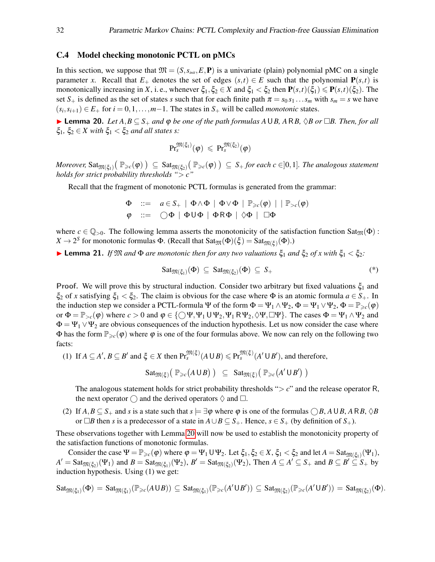#### C.4 Model checking monotonic PCTL on pMCs

In this section, we suppose that  $\mathfrak{M} = (S, s_{init}, E, \mathbf{P})$  is a univariate (plain) polynomial pMC on a single parameter *x*. Recall that  $E_+$  denotes the set of edges  $(s,t) \in E$  such that the polynomial  $P(s,t)$  is monotonically increasing in *X*, i. e., whenever  $\xi_1, \xi_2 \in X$  and  $\xi_1 < \xi_2$  then  $P(s,t)(\xi_1) \leq P(s,t)(\xi_2)$ . The set  $S_+$  is defined as the set of states *s* such that for each finite path  $\pi = s_0 s_1 \dots s_m$  with  $s_m = s$  we have  $(s_i, s_{i+1}) \in E_+$  for  $i = 0, 1, \ldots, m-1$ . The states in  $S_+$  will be called *monotonic* states.

<span id="page-31-0"></span>**► Lemma 20.** *Let*  $A, B \subseteq S_+$  *and*  $\varphi$  *be one of the path formulas*  $A \cup B$ ,  $A \cap B$ ,  $\Diamond B$  *or*  $\Box B$ *. Then, for all* ξ<sub>1</sub>, ξ<sub>2</sub>  $\in$  *X* with ξ<sub>1</sub>  $\lt$  ξ<sub>2</sub> and all states s:

$$
\mathrm{Pr}^{\mathfrak{M}(\xi_1)}_s(\pmb{\varphi}) \ \leqslant \ \mathrm{Pr}^{\mathfrak{M}(\xi_2)}_s(\pmb{\varphi})
$$

 $Moreover,$   $\text{Sat}_{\mathfrak{M}(\xi_1)}(\mathbb{P}_{\geqslant c}(\varphi)) \subseteq \text{Sat}_{\mathfrak{M}(\xi_2)}(\mathbb{P}_{\geqslant c}(\varphi)) \subseteq S_+$  *for each*  $c \in ]0,1]$ *. The analogous statement holds for strict probability thresholds "*> *c"*

Recall that the fragment of monotonic PCTL formulas is generated from the grammar:

$$
\Phi \quad ::= \quad a \in S_+ \mid \Phi \wedge \Phi \mid \Phi \vee \Phi \mid \mathbb{P}_{\geq c}(\varphi) \mid \mid \mathbb{P}_{>c}(\varphi)
$$
\n
$$
\varphi \quad ::= \quad \bigcirc \Phi \mid \Phi \cup \Phi \mid \Phi \mathsf{R} \Phi \mid \Diamond \Phi \mid \Box \Phi
$$

where  $c \in \mathbb{Q}_{>0}$ . The following lemma asserts the monotonicity of the satisfaction function Sat<sub>M</sub>( $\Phi$ ) : *X*  $\to$  2<sup>S</sup> for monotonic formulas Φ. (Recall that Sat<sub>M</sub>(Φ)(ξ) = Sat<sub>M(ξ)</sub>(Φ).)

**I Lemma 21.** *If*  $\mathfrak{M}$  *and*  $\Phi$  *are monotonic then for any two valuations*  $\xi_1$  *and*  $\xi_2$  *of x with*  $\xi_1 < \xi_2$ *:* 

$$
Sat_{\mathfrak{M}(\xi_1)}(\Phi) \subseteq Sat_{\mathfrak{M}(\xi_2)}(\Phi) \subseteq S_+
$$
 (\*)

**Proof.** We will prove this by structural induction. Consider two arbitrary but fixed valuations  $\xi_1$  and ξ<sub>2</sub> of *x* satisfying  $\xi_1 < \xi_2$ . The claim is obvious for the case where Φ is an atomic formula  $a \in S_+$ . In the induction step we consider a PCTL-formula Ψ of the form  $\Phi = \Psi_1 \wedge \Psi_2$ ,  $\Phi = \Psi_1 \vee \Psi_2$ ,  $\Phi = \mathbb{P}_{\geq c}(\phi)$ or  $\Phi = \mathbb{P}_{> c}(\phi)$  where  $c > 0$  and  $\phi \in \{\bigcirc \Psi, \Psi_1 \cup \Psi_2, \Psi_1 \cap \Psi_2, \Diamond \Psi, \Box \Psi\}$ . The cases  $\Phi = \Psi_1 \wedge \Psi_2$  and  $\Phi = \Psi_1 \vee \Psi_2$  are obvious consequences of the induction hypothesis. Let us now consider the case where  $\Phi$  has the form  $\mathbb{P}_{\geq c}(\varphi)$  where  $\varphi$  is one of the four formulas above. We now can rely on the following two facts:

(1) If  $A \subseteq A'$ ,  $B \subseteq B'$  and  $\xi \in X$  then  $\Pr_s^{\mathfrak{M}(\xi)}(A \cup B) \leqslant \Pr_s^{\mathfrak{M}(\xi)}(A' \cup B')$ , and therefore,

$$
\mathsf{Sat}_{\mathfrak{M}(\xi)}\big(\,\mathbb{P}_{\geq c}\big(A\,\mathsf{U}\,B\big)\,\big)\;\subseteq\; \mathsf{Sat}_{\mathfrak{M}(\xi)}\big(\,\mathbb{P}_{\geq c}\big(A'\,\mathsf{U}\,B'\big)\,\big)
$$

The analogous statement holds for strict probability thresholds " $> c$ " and the release operator R, the next operator  $\bigcap$  and the derived operators  $\Diamond$  and  $\Box$ .

(2) If  $A, B \subseteq S_+$  and *s* is a state such that  $s \models \exists \varphi$  where  $\varphi$  is one of the formulas  $\bigcirc B, A \cup B, A \cap B, \Diamond B$ or  $□B$  then *s* is a predecessor of a state in  $A ∪ B ⊆ S_+$ . Hence,  $s ∈ S_+$  (by definition of  $S_+$ ).

These observations together with Lemma [20](#page-31-0) will now be used to establish the monotonicity property of the satisfaction functions of monotonic formulas.

Consider the case  $\Psi = \mathbb{P}_{\geq c}(\varphi)$  where  $\varphi = \Psi_1 \cup \Psi_2$ . Let  $\xi_1, \xi_2 \in X$ ,  $\xi_1 < \xi_2$  and let  $A = \text{Sat}_{\mathfrak{M}(\xi_1)}(\Psi_1)$ ,  $A' = \text{Sat}_{\mathfrak{M}(\xi_2)}(\Psi_1)$  and  $B = \text{Sat}_{\mathfrak{M}(\xi_1)}(\Psi_2)$ ,  $B' = \text{Sat}_{\mathfrak{M}(\xi_2)}(\Psi_2)$ , Then  $A \subseteq A' \subseteq S_+$  and  $B \subseteq B' \subseteq S_+$  by induction hypothesis. Using (1) we get:

$$
\mathsf{Sat}_{\mathfrak{M}(\xi_1)}(\Phi) = \mathsf{Sat}_{\mathfrak{M}(\xi_1)}(\mathbb{P}_{\geq c}(A\cup B)) \subseteq \mathsf{Sat}_{\mathfrak{M}(\xi_1)}(\mathbb{P}_{\geq c}(A'\cup B')) \subseteq \mathsf{Sat}_{\mathfrak{M}(\xi_2)}(\mathbb{P}_{\geq c}(A'\cup B')) = \mathsf{Sat}_{\mathfrak{M}(\xi_2)}(\Phi).
$$